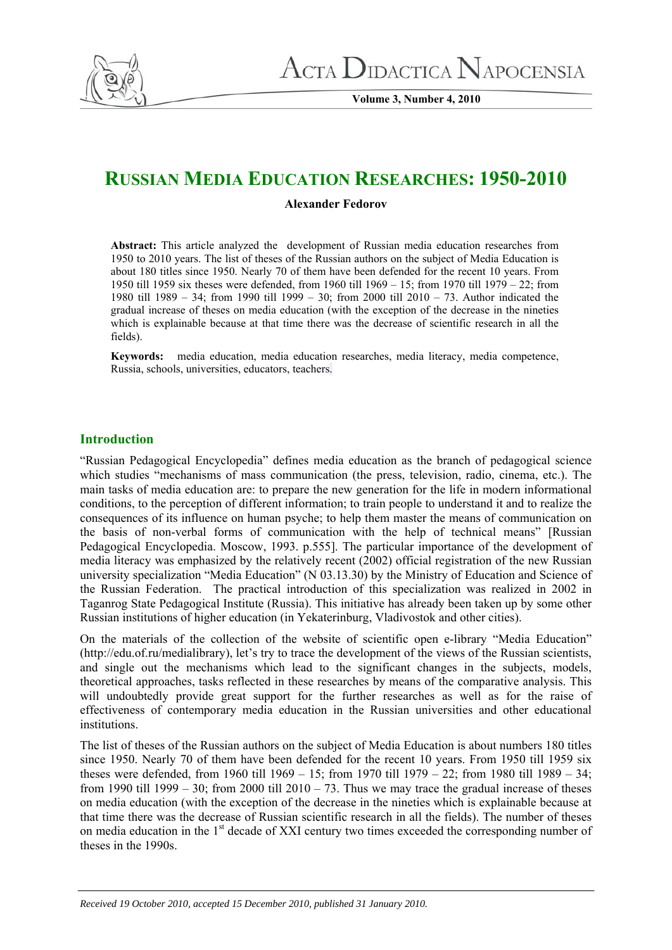

**Volume 3, Number 4, 2010** 

# **RUSSIAN MEDIA EDUCATION RESEARCHES: 1950-2010**

#### **Alexander Fedorov**

**Abstract:** This article analyzed the development of Russian media education researches from 1950 to 2010 years. The list of theses of the Russian authors on the subject of Media Education is about 180 titles since 1950. Nearly 70 of them have been defended for the recent 10 years. From 1950 till 1959 six theses were defended, from 1960 till 1969 – 15; from 1970 till 1979 – 22; from 1980 till 1989 – 34; from 1990 till 1999 – 30; from 2000 till 2010 – 73. Author indicated the gradual increase of theses on media education (with the exception of the decrease in the nineties which is explainable because at that time there was the decrease of scientific research in all the fields).

**Keywords:** media education, media education researches, media literacy, media competence, Russia, schools, universities, educators, teachers.

# **Introduction**

"Russian Pedagogical Encyclopedia" defines media education as the branch of pedagogical science which studies "mechanisms of mass communication (the press, television, radio, cinema, etc.). The main tasks of media education are: to prepare the new generation for the life in modern informational conditions, to the perception of different information; to train people to understand it and to realize the consequences of its influence on human psyche; to help them master the means of communication on the basis of non-verbal forms of communication with the help of technical means" [Russian Pedagogical Encyclopedia. Moscow, 1993. p.555]. The particular importance of the development of media literacy was emphasized by the relatively recent (2002) official registration of the new Russian university specialization "Media Education" (N 03.13.30) by the Ministry of Education and Science of the Russian Federation. The practical introduction of this specialization was realized in 2002 in Taganrog State Pedagogical Institute (Russia). This initiative has already been taken up by some other Russian institutions of higher education (in Yekaterinburg, Vladivostok and other cities).

On the materials of the collection of the website of scientific open e-library "Media Education" (http://edu.of.ru/medialibrary), let's try to trace the development of the views of the Russian scientists, and single out the mechanisms which lead to the significant changes in the subjects, models, theoretical approaches, tasks reflected in these researches by means of the comparative analysis. This will undoubtedly provide great support for the further researches as well as for the raise of effectiveness of contemporary media education in the Russian universities and other educational institutions.

The list of theses of the Russian authors on the subject of Media Education is about numbers 180 titles since 1950. Nearly 70 of them have been defended for the recent 10 years. From 1950 till 1959 six theses were defended, from 1960 till 1969 – 15; from 1970 till 1979 – 22; from 1980 till 1989 – 34; from 1990 till 1999 – 30; from 2000 till 2010 – 73. Thus we may trace the gradual increase of theses on media education (with the exception of the decrease in the nineties which is explainable because at that time there was the decrease of Russian scientific research in all the fields). The number of theses on media education in the 1<sup>st</sup> decade of XXI century two times exceeded the corresponding number of theses in the 1990s.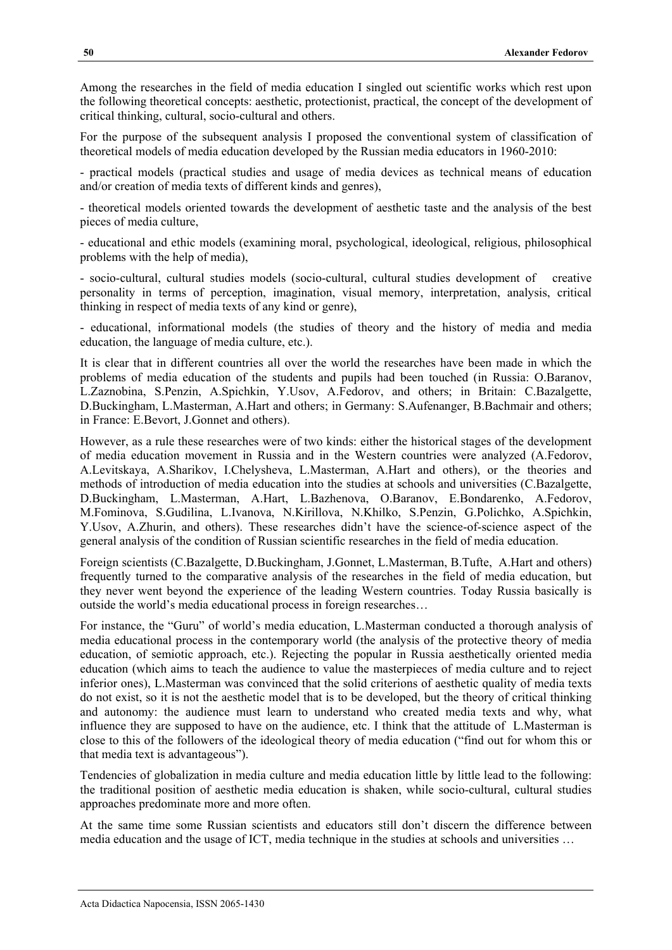Among the researches in the field of media education I singled out scientific works which rest upon the following theoretical concepts: aesthetic, protectionist, practical, the concept of the development of critical thinking, cultural, socio-cultural and others.

For the purpose of the subsequent analysis I proposed the conventional system of classification of theoretical models of media education developed by the Russian media educators in 1960-2010:

- practical models (practical studies and usage of media devices as technical means of education and/or creation of media texts of different kinds and genres),

- theoretical models oriented towards the development of aesthetic taste and the analysis of the best pieces of media culture,

- educational and ethic models (examining moral, psychological, ideological, religious, philosophical problems with the help of media),

- socio-cultural, cultural studies models (socio-cultural, cultural studies development of creative personality in terms of perception, imagination, visual memory, interpretation, analysis, critical thinking in respect of media texts of any kind or genre),

- educational, informational models (the studies of theory and the history of media and media education, the language of media culture, etc.).

It is clear that in different countries all over the world the researches have been made in which the problems of media education of the students and pupils had been touched (in Russia: O.Baranov, L.Zaznobina, S.Penzin, A.Spichkin, Y.Usov, A.Fedorov, and others; in Britain: C.Bazalgette, D.Buckingham, L.Masterman, A.Hart and others; in Germany: S.Aufenanger, B.Bachmair and others; in France: E.Bevort, J.Gonnet and others).

However, as a rule these researches were of two kinds: either the historical stages of the development of media education movement in Russia and in the Western countries were analyzed (A.Fedorov, A.Levitskaya, A.Sharikov, I.Chelysheva, L.Masterman, A.Hart and others), or the theories and methods of introduction of media education into the studies at schools and universities (C.Bazalgette, D.Buckingham, L.Masterman, A.Hart, L.Bazhenova, O.Baranov, E.Bondarenko, A.Fedorov, M.Fominova, S.Gudilina, L.Ivanova, N.Kirillova, N.Khilko, S.Penzin, G.Polichko, A.Spichkin, Y.Usov, А.Zhurin, and others). These researches didn't have the science-of-science aspect of the general analysis of the condition of Russian scientific researches in the field of media education.

Foreign scientists (C.Bazalgette, D.Buckingham, J.Gonnet, L.Masterman, B.Tufte, A.Hart and others) frequently turned to the comparative analysis of the researches in the field of media education, but they never went beyond the experience of the leading Western countries. Today Russia basically is outside the world's media educational process in foreign researches…

For instance, the "Guru" of world's media education, L.Masterman conducted a thorough analysis of media educational process in the contemporary world (the analysis of the protective theory of media education, of semiotic approach, etc.). Rejecting the popular in Russia aesthetically oriented media education (which aims to teach the audience to value the masterpieces of media culture and to reject inferior ones), L.Masterman was convinced that the solid criterions of aesthetic quality of media texts do not exist, so it is not the aesthetic model that is to be developed, but the theory of critical thinking and autonomy: the audience must learn to understand who created media texts and why, what influence they are supposed to have on the audience, etc. I think that the attitude of L.Masterman is close to this of the followers of the ideological theory of media education ("find out for whom this or that media text is advantageous").

Tendencies of globalization in media culture and media education little by little lead to the following: the traditional position of aesthetic media education is shaken, while socio-cultural, cultural studies approaches predominate more and more often.

At the same time some Russian scientists and educators still don't discern the difference between media education and the usage of ICT, media technique in the studies at schools and universities …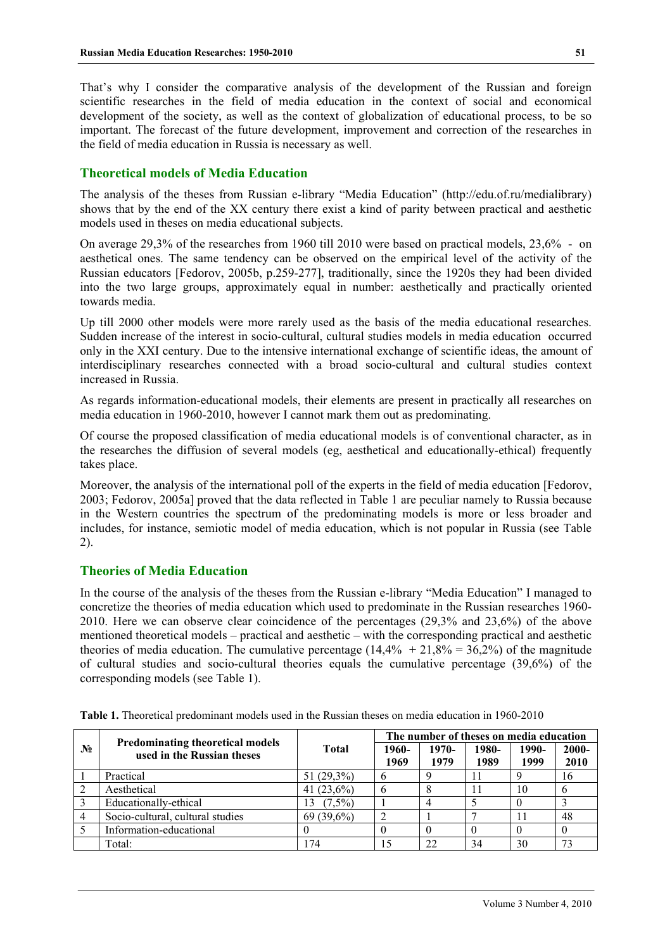That's why I consider the comparative analysis of the development of the Russian and foreign scientific researches in the field of media education in the context of social and economical development of the society, as well as the context of globalization of educational process, to be so important. The forecast of the future development, improvement and correction of the researches in the field of media education in Russia is necessary as well.

#### **Theoretical models of Media Education**

The analysis of the theses from Russian e-library "Media Education" (http://edu.of.ru/medialibrary) shows that by the end of the XX century there exist a kind of parity between practical and aesthetic models used in theses on media educational subjects.

On average 29,3% of the researches from 1960 till 2010 were based on practical models, 23,6% - on aesthetical ones. The same tendency can be observed on the empirical level of the activity of the Russian educators [Fedorov, 2005b, p.259-277], traditionally, since the 1920s they had been divided into the two large groups, approximately equal in number: aesthetically and practically oriented towards media.

Up till 2000 other models were more rarely used as the basis of the media educational researches. Sudden increase of the interest in socio-cultural, cultural studies models in media education occurred only in the XXI century. Due to the intensive international exchange of scientific ideas, the amount of interdisciplinary researches connected with a broad socio-cultural and cultural studies context increased in Russia.

As regards information-educational models, their elements are present in practically all researches on media education in 1960-2010, however I cannot mark them out as predominating.

Of course the proposed classification of media educational models is of conventional character, as in the researches the diffusion of several models (eg, aesthetical and educationally-ethical) frequently takes place.

Moreover, the analysis of the international poll of the experts in the field of media education [Fedorov, 2003; Fedorov, 2005a] proved that the data reflected in Table 1 are peculiar namely to Russia because in the Western countries the spectrum of the predominating models is more or less broader and includes, for instance, semiotic model of media education, which is not popular in Russia (see Table 2).

## **Theories of Media Education**

In the course of the analysis of the theses from the Russian e-library "Media Education" I managed to concretize the theories of media education which used to predominate in the Russian researches 1960- 2010. Here we can observe clear coincidence of the percentages (29,3% and 23,6%) of the above mentioned theoretical models – practical and aesthetic – with the corresponding practical and aesthetic theories of media education. The cumulative percentage  $(14,4\% + 21,8\% = 36,2\%)$  of the magnitude of cultural studies and socio-cultural theories equals the cumulative percentage (39,6%) of the corresponding models (see Table 1).

|       | <b>Predominating theoretical models</b> |               |               | The number of theses on media education |               |               |               |  |  |
|-------|-----------------------------------------|---------------|---------------|-----------------------------------------|---------------|---------------|---------------|--|--|
| $N_2$ | used in the Russian theses              | Total         | 1960-<br>1969 | 1970-<br>1979                           | 1980-<br>1989 | 1990-<br>1999 | 2000-<br>2010 |  |  |
|       | Practical                               | 51 (29,3%)    | b             |                                         |               |               | 16            |  |  |
|       | Aesthetical                             | 41 $(23,6\%)$ | 6             |                                         |               | 10            | h             |  |  |
|       | Educationally-ethical                   | $(7,5\%)$     |               |                                         |               |               |               |  |  |
|       | Socio-cultural, cultural studies        | $69(39,6\%)$  |               |                                         |               |               | 48            |  |  |
|       | Information-educational                 |               |               |                                         |               |               |               |  |  |
|       | Total:                                  | 174           |               | つつ                                      | 34            | 30            | 73            |  |  |

**Table 1.** Theoretical predominant models used in the Russian theses on media education in 1960-2010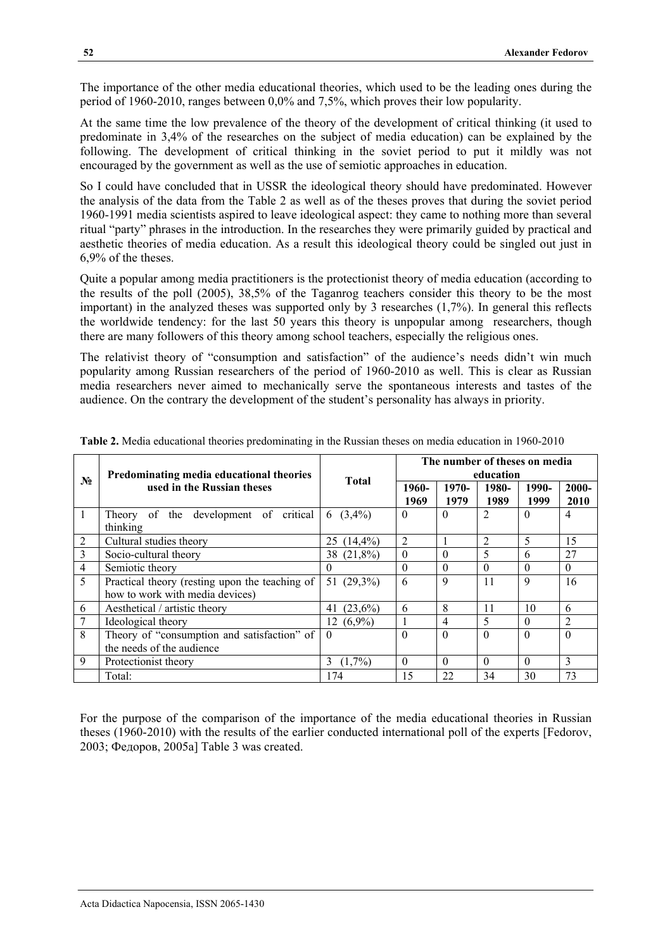The importance of the other media educational theories, which used to be the leading ones during the period of 1960-2010, ranges between 0,0% and 7,5%, which proves their low popularity.

At the same time the low prevalence of the theory of the development of critical thinking (it used to predominate in 3,4% of the researches on the subject of media education) can be explained by the following. The development of critical thinking in the soviet period to put it mildly was not encouraged by the government as well as the use of semiotic approaches in education.

So I could have concluded that in USSR the ideological theory should have predominated. However the analysis of the data from the Table 2 as well as of the theses proves that during the soviet period 1960-1991 media scientists aspired to leave ideological aspect: they came to nothing more than several ritual "party" phrases in the introduction. In the researches they were primarily guided by practical and aesthetic theories of media education. As a result this ideological theory could be singled out just in 6,9% of the theses.

Quite a popular among media practitioners is the protectionist theory of media education (according to the results of the poll (2005), 38,5% of the Taganrog teachers consider this theory to be the most important) in the analyzed theses was supported only by 3 researches (1,7%). In general this reflects the worldwide tendency: for the last 50 years this theory is unpopular among researchers, though there are many followers of this theory among school teachers, especially the religious ones.

The relativist theory of "consumption and satisfaction" of the audience's needs didn't win much popularity among Russian researchers of the period of 1960-2010 as well. This is clear as Russian media researchers never aimed to mechanically serve the spontaneous interests and tastes of the audience. On the contrary the development of the student's personality has always in priority.

|                |                                                |                   | The number of theses on media |          |                |          |                |  |
|----------------|------------------------------------------------|-------------------|-------------------------------|----------|----------------|----------|----------------|--|
| $N_2$          | Predominating media educational theories       | <b>Total</b>      | education                     |          |                |          |                |  |
|                | used in the Russian theses                     |                   | 1960-                         | 1970-    | 1980-          | 1990-    | $2000 -$       |  |
|                |                                                |                   | 1969                          | 1979     | 1989           | 1999     | 2010           |  |
|                | Theory of the development of critical          | $(3,4\%)$<br>6    | $\theta$                      | $\Omega$ | $\overline{2}$ | $\Omega$ | 4              |  |
|                | thinking                                       |                   |                               |          |                |          |                |  |
| $\overline{2}$ | Cultural studies theory                        | $(14, 4\%)$<br>25 | 2                             |          | 2              | 5        | 15             |  |
| 3              | Socio-cultural theory                          | $(21,8\%)$<br>38  | $\Omega$                      | $\Omega$ | 5              | 6        | 27             |  |
| $\overline{4}$ | Semiotic theory                                | $\theta$          | $\Omega$                      | $\theta$ | $\theta$       | $\Omega$ | $\theta$       |  |
| 5              | Practical theory (resting upon the teaching of | (29,3%)<br>51     | 6                             | 9        | 11             | 9        | 16             |  |
|                | how to work with media devices)                |                   |                               |          |                |          |                |  |
| 6              | Aesthetical / artistic theory                  | (23,6%)<br>41     | 6                             | 8        | 11             | 10       | 6              |  |
|                | Ideological theory                             | $(6,9\%)$<br>12   |                               | 4        | 5              | $\Omega$ | $\overline{2}$ |  |
| 8              | Theory of "consumption and satisfaction" of    | $\Omega$          | $\Omega$                      | $\Omega$ | $\Omega$       | $\Omega$ | $\theta$       |  |
|                | the needs of the audience                      |                   |                               |          |                |          |                |  |
| 9              | Protectionist theory                           | $(1.7\%)$<br>3    | $\Omega$                      | $\Omega$ | $\Omega$       | $\Omega$ | $\mathbf{3}$   |  |
|                | Total:                                         | 174               | 15                            | 22       | 34             | 30       | 73             |  |

**Table 2.** Media educational theories predominating in the Russian theses on media education in 1960-2010

For the purpose of the comparison of the importance of the media educational theories in Russian theses (1960-2010) with the results of the earlier conducted international poll of the experts [Fedorov, 2003; Федоров, 2005a] Table 3 was created.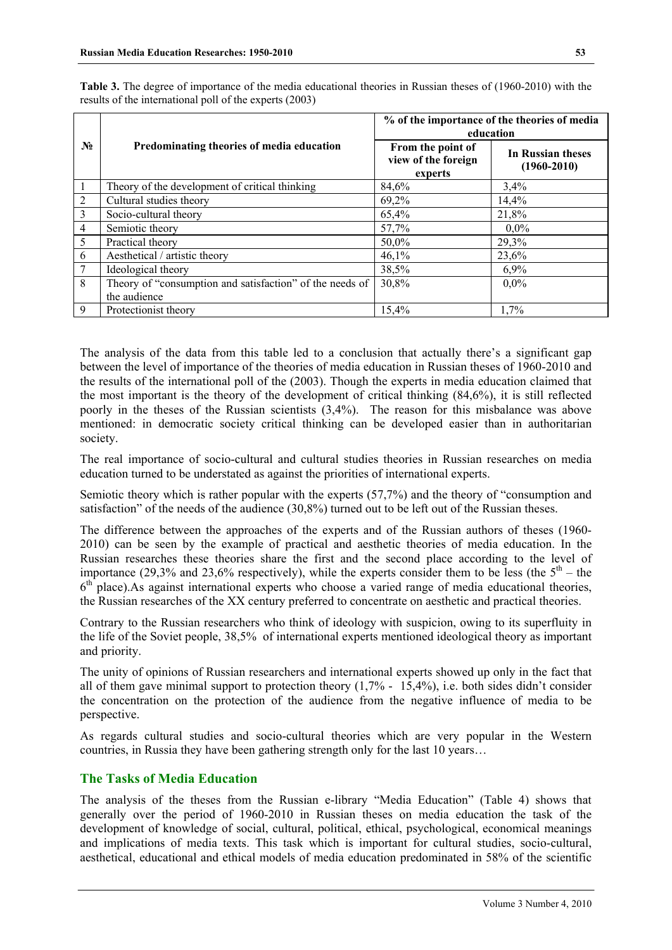|                |                                                          | % of the importance of the theories of media<br>education |                                      |  |  |
|----------------|----------------------------------------------------------|-----------------------------------------------------------|--------------------------------------|--|--|
| $N_2$          | Predominating theories of media education                | From the point of<br>view of the foreign<br>experts       | In Russian theses<br>$(1960 - 2010)$ |  |  |
|                | Theory of the development of critical thinking           | 84,6%                                                     | 3,4%                                 |  |  |
| 2              | Cultural studies theory                                  | 69,2%                                                     | 14,4%                                |  |  |
| $\mathfrak{Z}$ | Socio-cultural theory                                    | 65,4%                                                     | 21,8%                                |  |  |
| $\overline{4}$ | Semiotic theory                                          | 57,7%                                                     | $0.0\%$                              |  |  |
| 5              | Practical theory                                         | 50,0%                                                     | 29,3%                                |  |  |
| 6              | Aesthetical / artistic theory                            | 46,1%                                                     | 23,6%                                |  |  |
| 7              | Ideological theory                                       | 38,5%                                                     | 6,9%                                 |  |  |
| 8              | Theory of "consumption and satisfaction" of the needs of | 30,8%                                                     | $0.0\%$                              |  |  |
|                | the audience                                             |                                                           |                                      |  |  |
| 9              | Protectionist theory                                     | 15,4%                                                     | 1,7%                                 |  |  |

**Table 3.** The degree of importance of the media educational theories in Russian theses of (1960-2010) with the results of the international poll of the experts (2003)

The analysis of the data from this table led to a conclusion that actually there's a significant gap between the level of importance of the theories of media education in Russian theses of 1960-2010 and the results of the international poll of the (2003). Though the experts in media education claimed that the most important is the theory of the development of critical thinking (84,6%), it is still reflected poorly in the theses of the Russian scientists (3,4%). The reason for this misbalance was above mentioned: in democratic society critical thinking can be developed easier than in authoritarian society.

The real importance of socio-cultural and cultural studies theories in Russian researches on media education turned to be understated as against the priorities of international experts.

Semiotic theory which is rather popular with the experts (57,7%) and the theory of "consumption and satisfaction" of the needs of the audience (30,8%) turned out to be left out of the Russian theses.

The difference between the approaches of the experts and of the Russian authors of theses (1960- 2010) can be seen by the example of practical and aesthetic theories of media education. In the Russian researches these theories share the first and the second place according to the level of importance (29,3% and 23,6% respectively), while the experts consider them to be less (the  $5<sup>th</sup>$  – the  $6<sup>th</sup>$  place). As against international experts who choose a varied range of media educational theories, the Russian researches of the XX century preferred to concentrate on aesthetic and practical theories.

Contrary to the Russian researchers who think of ideology with suspicion, owing to its superfluity in the life of the Soviet people, 38,5% of international experts mentioned ideological theory as important and priority.

The unity of opinions of Russian researchers and international experts showed up only in the fact that all of them gave minimal support to protection theory  $(1,7% - 15,4%)$ , i.e. both sides didn't consider the concentration on the protection of the audience from the negative influence of media to be perspective.

As regards cultural studies and socio-cultural theories which are very popular in the Western countries, in Russia they have been gathering strength only for the last 10 years…

# **The Tasks of Media Education**

The analysis of the theses from the Russian e-library "Media Education" (Table 4) shows that generally over the period of 1960-2010 in Russian theses on media education the task of the development of knowledge of social, cultural, political, ethical, psychological, economical meanings and implications of media texts. This task which is important for cultural studies, socio-cultural, aesthetical, educational and ethical models of media education predominated in 58% of the scientific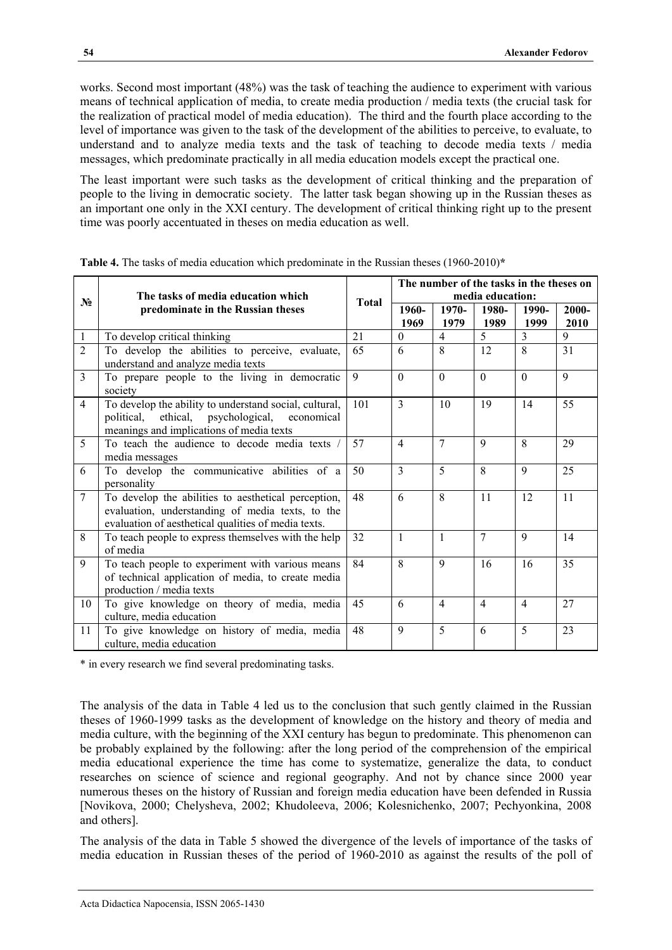works. Second most important (48%) was the task of teaching the audience to experiment with various means of technical application of media, to create media production / media texts (the crucial task for the realization of practical model of media education). The third and the fourth place according to the level of importance was given to the task of the development of the abilities to perceive, to evaluate, to understand and to analyze media texts and the task of teaching to decode media texts / media messages, which predominate practically in all media education models except the practical one.

The least important were such tasks as the development of critical thinking and the preparation of people to the living in democratic society. The latter task began showing up in the Russian theses as an important one only in the XXI century. The development of critical thinking right up to the present time was poorly accentuated in theses on media education as well.

|                | The tasks of media education which                                                                                                                             |              |                | The number of the tasks in the theses on<br>media education: |               |                |               |  |
|----------------|----------------------------------------------------------------------------------------------------------------------------------------------------------------|--------------|----------------|--------------------------------------------------------------|---------------|----------------|---------------|--|
| $N_2$          | predominate in the Russian theses                                                                                                                              | <b>Total</b> | 1960-<br>1969  | 1970-<br>1979                                                | 1980-<br>1989 | 1990-<br>1999  | 2000-<br>2010 |  |
| 1              | To develop critical thinking                                                                                                                                   | 21           | $\theta$       | $\overline{4}$                                               | 5             | 3              | 9             |  |
| $\overline{2}$ | To develop the abilities to perceive, evaluate,<br>understand and analyze media texts                                                                          |              | 6              | 8                                                            | 12            | 8              | 31            |  |
| $\overline{3}$ | To prepare people to the living in democratic<br>society                                                                                                       | 9            | $\Omega$       | $\Omega$                                                     | $\Omega$      | $\Omega$       | 9             |  |
| $\overline{4}$ | To develop the ability to understand social, cultural,<br>ethical, psychological,<br>political,<br>economical<br>meanings and implications of media texts      | 101          | $\overline{3}$ | 10                                                           | 19            | 14             | 55            |  |
| 5              | To teach the audience to decode media texts /<br>media messages                                                                                                |              | $\overline{4}$ | $\overline{7}$                                               | 9             | 8              | 29            |  |
| 6              | To develop the communicative abilities of a<br>personality                                                                                                     | 50           | $\overline{3}$ | 5                                                            | 8             | 9              | 25            |  |
| $\overline{7}$ | To develop the abilities to aesthetical perception,<br>evaluation, understanding of media texts, to the<br>evaluation of aesthetical qualities of media texts. | 48           | 6              | 8                                                            | 11            | 12             | 11            |  |
| 8              | To teach people to express themselves with the help<br>of media                                                                                                | 32           | $\mathbf{1}$   | $\mathbf{1}$                                                 | 7             | 9              | 14            |  |
| 9              | To teach people to experiment with various means<br>of technical application of media, to create media<br>production / media texts                             | 84           | 8              | $\mathbf Q$                                                  | 16            | 16             | 35            |  |
| 10             | To give knowledge on theory of media, media<br>culture, media education                                                                                        |              | 6              | $\overline{4}$                                               | 4             | $\overline{4}$ | 27            |  |
| 11             | To give knowledge on history of media, media<br>culture, media education                                                                                       | 48           | $\mathbf Q$    | 5                                                            | 6             | 5              | 23            |  |

**Table 4.** The tasks of media education which predominate in the Russian theses (1960-2010)**\*** 

\* in every research we find several predominating tasks.

The analysis of the data in Table 4 led us to the conclusion that such gently claimed in the Russian theses of 1960-1999 tasks as the development of knowledge on the history and theory of media and media culture, with the beginning of the XXI century has begun to predominate. This phenomenon can be probably explained by the following: after the long period of the comprehension of the empirical media educational experience the time has come to systematize, generalize the data, to conduct researches on science of science and regional geography. And not by chance since 2000 year numerous theses on the history of Russian and foreign media education have been defended in Russia [Novikova, 2000; Chelysheva, 2002; Khudoleeva, 2006; Kolesnichenko, 2007; Pechyonkina, 2008 and others].

The analysis of the data in Table 5 showed the divergence of the levels of importance of the tasks of media education in Russian theses of the period of 1960-2010 as against the results of the poll of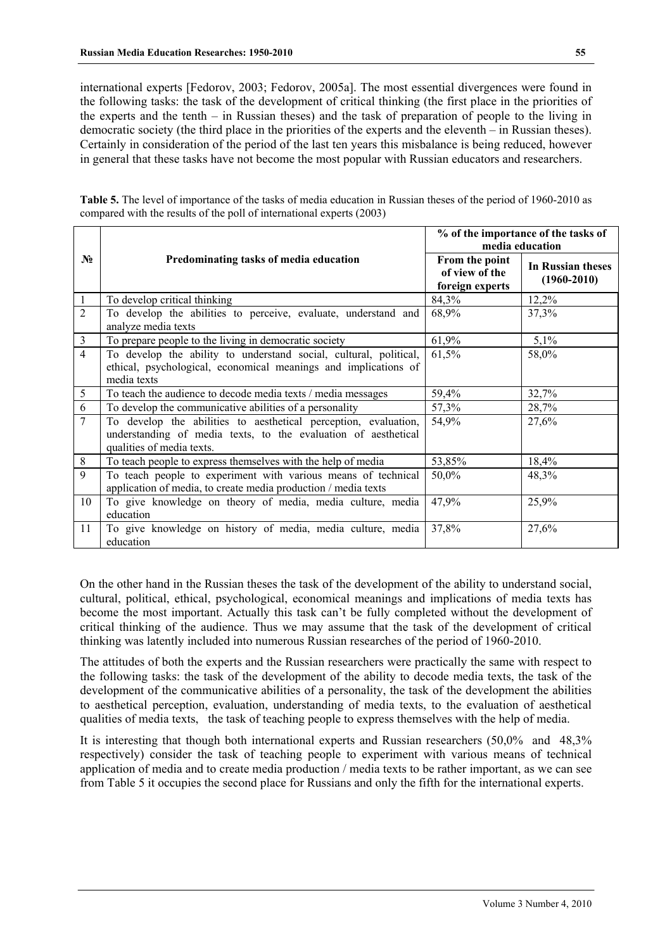international experts [Fedorov, 2003; Fedorov, 2005a]. The most essential divergences were found in the following tasks: the task of the development of critical thinking (the first place in the priorities of the experts and the tenth – in Russian theses) and the task of preparation of people to the living in democratic society (the third place in the priorities of the experts and the eleventh – in Russian theses). Certainly in consideration of the period of the last ten years this misbalance is being reduced, however in general that these tasks have not become the most popular with Russian educators and researchers.

|                |                                                                                                                                   | % of the importance of the tasks of<br>media education |                                      |  |  |
|----------------|-----------------------------------------------------------------------------------------------------------------------------------|--------------------------------------------------------|--------------------------------------|--|--|
| $N_2$          | Predominating tasks of media education                                                                                            | From the point<br>of view of the<br>foreign experts    | In Russian theses<br>$(1960 - 2010)$ |  |  |
| $\mathbf{1}$   | To develop critical thinking                                                                                                      | 84,3%                                                  | 12,2%                                |  |  |
| $\overline{2}$ | To develop the abilities to perceive, evaluate, understand and                                                                    | 68,9%                                                  | 37,3%                                |  |  |
|                | analyze media texts                                                                                                               |                                                        |                                      |  |  |
| $\mathfrak{Z}$ | To prepare people to the living in democratic society                                                                             | 61,9%                                                  | 5,1%                                 |  |  |
| $\overline{4}$ | To develop the ability to understand social, cultural, political,                                                                 | 61,5%                                                  | 58,0%                                |  |  |
|                | ethical, psychological, economical meanings and implications of                                                                   |                                                        |                                      |  |  |
|                | media texts                                                                                                                       |                                                        |                                      |  |  |
| $\sqrt{5}$     | To teach the audience to decode media texts / media messages                                                                      | 59,4%                                                  | 32,7%                                |  |  |
| 6              | To develop the communicative abilities of a personality                                                                           | 57,3%                                                  | 28,7%                                |  |  |
| 7              | To develop the abilities to aesthetical perception, evaluation,<br>understanding of media texts, to the evaluation of aesthetical | 54,9%                                                  | 27,6%                                |  |  |
|                | qualities of media texts.                                                                                                         |                                                        |                                      |  |  |
| $\,8\,$        | To teach people to express themselves with the help of media                                                                      | 53,85%                                                 | 18,4%                                |  |  |
| 9              | To teach people to experiment with various means of technical<br>application of media, to create media production / media texts   | 50,0%                                                  | 48,3%                                |  |  |
| 10             | To give knowledge on theory of media, media culture, media<br>education                                                           | 47,9%                                                  | 25,9%                                |  |  |
| 11             | To give knowledge on history of media, media culture, media<br>education                                                          | 37,8%                                                  | 27,6%                                |  |  |

**Table 5.** The level of importance of the tasks of media education in Russian theses of the period of 1960-2010 as compared with the results of the poll of international experts (2003)

On the other hand in the Russian theses the task of the development of the ability to understand social, cultural, political, ethical, psychological, economical meanings and implications of media texts has become the most important. Actually this task can't be fully completed without the development of critical thinking of the audience. Thus we may assume that the task of the development of critical thinking was latently included into numerous Russian researches of the period of 1960-2010.

The attitudes of both the experts and the Russian researchers were practically the same with respect to the following tasks: the task of the development of the ability to decode media texts, the task of the development of the communicative abilities of a personality, the task of the development the abilities to aesthetical perception, evaluation, understanding of media texts, to the evaluation of aesthetical qualities of media texts, the task of teaching people to express themselves with the help of media.

It is interesting that though both international experts and Russian researchers (50,0% and 48,3% respectively) consider the task of teaching people to experiment with various means of technical application of media and to create media production / media texts to be rather important, as we can see from Table 5 it occupies the second place for Russians and only the fifth for the international experts.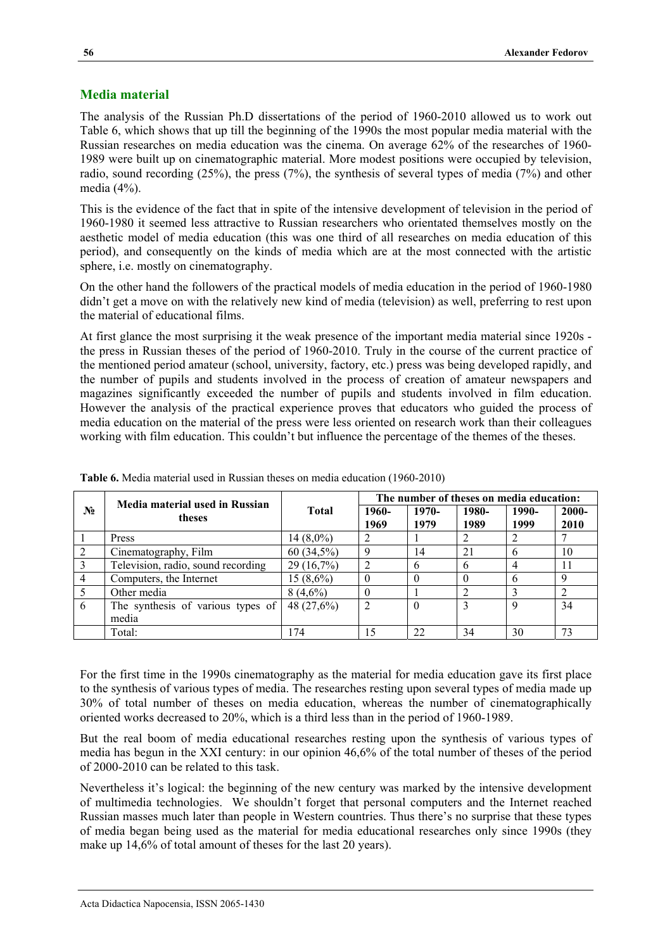# **Media material**

The analysis of the Russian Ph.D dissertations of the period of 1960-2010 allowed us to work out Table 6, which shows that up till the beginning of the 1990s the most popular media material with the Russian researches on media education was the cinema. On average 62% of the researches of 1960- 1989 were built up on cinematographic material. More modest positions were occupied by television, radio, sound recording (25%), the press (7%), the synthesis of several types of media (7%) and other media (4%).

This is the evidence of the fact that in spite of the intensive development of television in the period of 1960-1980 it seemed less attractive to Russian researchers who orientated themselves mostly on the aesthetic model of media education (this was one third of all researches on media education of this period), and consequently on the kinds of media which are at the most connected with the artistic sphere, i.e. mostly on cinematography.

On the other hand the followers of the practical models of media education in the period of 1960-1980 didn't get a move on with the relatively new kind of media (television) as well, preferring to rest upon the material of educational films.

At first glance the most surprising it the weak presence of the important media material since 1920s the press in Russian theses of the period of 1960-2010. Truly in the course of the current practice of the mentioned period amateur (school, university, factory, etc.) press was being developed rapidly, and the number of pupils and students involved in the process of creation of amateur newspapers and magazines significantly exceeded the number of pupils and students involved in film education. However the analysis of the practical experience proves that educators who guided the process of media education on the material of the press were less oriented on research work than their colleagues working with film education. This couldn't but influence the percentage of the themes of the theses.

|                | Media material used in Russian     |              | The number of theses on media education: |               |               |               |               |  |
|----------------|------------------------------------|--------------|------------------------------------------|---------------|---------------|---------------|---------------|--|
| $N_2$          | theses                             | <b>Total</b> | 1960-<br>1969                            | 1970-<br>1979 | 1980-<br>1989 | 1990-<br>1999 | 2000-<br>2010 |  |
|                | Press                              | $14(8,0\%)$  |                                          |               |               |               |               |  |
| 2              | Cinematography, Film               | 60(34,5%)    |                                          | 14            | 21            | h             | 10            |  |
| 3              | Television, radio, sound recording | 29 (16,7%)   |                                          | n             | h             |               | 11            |  |
| $\overline{4}$ | Computers, the Internet            | $15(8,6\%)$  |                                          |               | 0             | h             | 9             |  |
|                | Other media                        | $8(4,6\%)$   |                                          |               |               |               |               |  |
| 6              | The synthesis of various types of  | 48 (27,6%)   |                                          |               |               | Q             | 34            |  |
|                | media                              |              |                                          |               |               |               |               |  |
|                | Total:                             | 174          | 15                                       | 22            | 34            | 30            | 73            |  |

**Table 6.** Media material used in Russian theses on media education (1960-2010)

For the first time in the 1990s cinematography as the material for media education gave its first place to the synthesis of various types of media. The researches resting upon several types of media made up 30% of total number of theses on media education, whereas the number of cinematographically oriented works decreased to 20%, which is a third less than in the period of 1960-1989.

But the real boom of media educational researches resting upon the synthesis of various types of media has begun in the XXI century: in our opinion 46,6% of the total number of theses of the period of 2000-2010 can be related to this task.

Nevertheless it's logical: the beginning of the new century was marked by the intensive development of multimedia technologies. We shouldn't forget that personal computers and the Internet reached Russian masses much later than people in Western countries. Thus there's no surprise that these types of media began being used as the material for media educational researches only since 1990s (they make up 14,6% of total amount of theses for the last 20 years).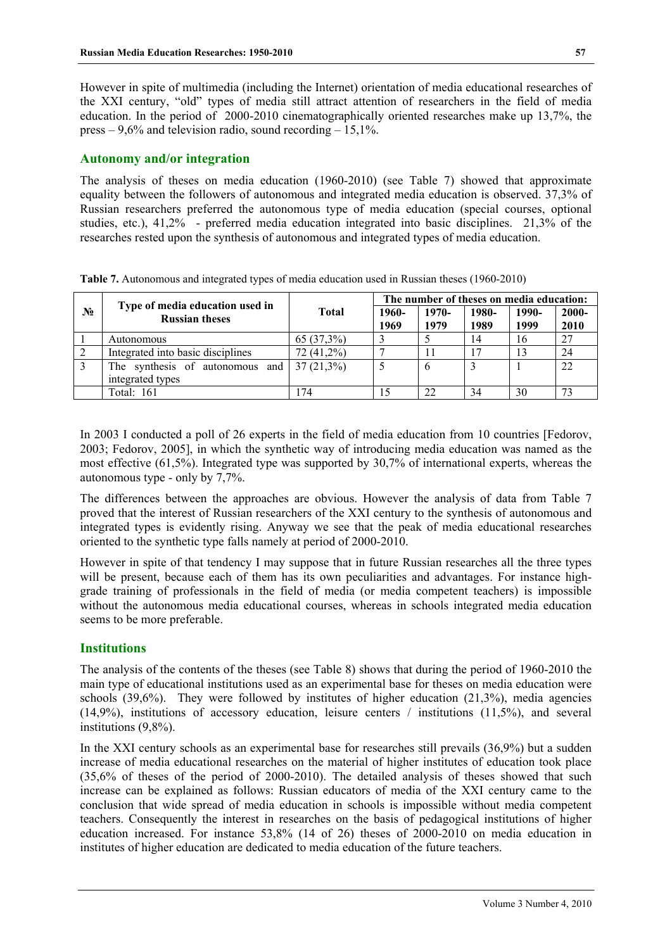However in spite of multimedia (including the Internet) orientation of media educational researches of the XXI century, "old" types of media still attract attention of researchers in the field of media education. In the period of 2000-2010 cinematographically oriented researches make up 13,7%, the press  $-9.6\%$  and television radio, sound recording  $-15.1\%$ .

## **Autonomy and/or integration**

The analysis of theses on media education (1960-2010) (see Table 7) showed that approximate equality between the followers of autonomous and integrated media education is observed. 37,3% of Russian researchers preferred the autonomous type of media education (special courses, optional studies, etc.), 41,2% - preferred media education integrated into basic disciplines. 21,3% of the researches rested upon the synthesis of autonomous and integrated types of media education.

|               | Type of media education used in                                       |              | The number of theses on media education: |               |               |               |               |
|---------------|-----------------------------------------------------------------------|--------------|------------------------------------------|---------------|---------------|---------------|---------------|
| $N_2$         | <b>Russian theses</b>                                                 | <b>Total</b> | 1960-<br>1969                            | 1970-<br>1979 | 1980-<br>1989 | 1990-<br>1999 | 2000-<br>2010 |
|               | Autonomous                                                            | $65(37,3\%)$ |                                          |               | 14            | 16            | 27            |
|               | Integrated into basic disciplines                                     | 72 (41,2%)   |                                          |               | 17            | 13            | 24            |
| $\mathcal{R}$ | The synthesis of autonomous and $\int 37(21,3\%)$<br>integrated types |              |                                          | $\mathfrak b$ |               |               | 22            |
|               | Total: 161                                                            | 174          | 15                                       | 22            | 34            | 30            | 73            |

**Table 7.** Autonomous and integrated types of media education used in Russian theses (1960-2010)

In 2003 I conducted a poll of 26 experts in the field of media education from 10 countries [Fedorov, 2003; Fedorov, 2005], in which the synthetic way of introducing media education was named as the most effective (61,5%). Integrated type was supported by 30,7% of international experts, whereas the autonomous type - only by 7,7%.

The differences between the approaches are obvious. However the analysis of data from Table 7 proved that the interest of Russian researchers of the XXI century to the synthesis of autonomous and integrated types is evidently rising. Anyway we see that the peak of media educational researches oriented to the synthetic type falls namely at period of 2000-2010.

However in spite of that tendency I may suppose that in future Russian researches all the three types will be present, because each of them has its own peculiarities and advantages. For instance highgrade training of professionals in the field of media (or media competent teachers) is impossible without the autonomous media educational courses, whereas in schools integrated media education seems to be more preferable.

#### **Institutions**

The analysis of the contents of the theses (see Table 8) shows that during the period of 1960-2010 the main type of educational institutions used as an experimental base for theses on media education were schools (39,6%). They were followed by institutes of higher education (21,3%), media agencies (14,9%), institutions of accessory education, leisure centers / institutions (11,5%), and several institutions (9,8%).

In the XXI century schools as an experimental base for researches still prevails (36,9%) but a sudden increase of media educational researches on the material of higher institutes of education took place (35,6% of theses of the period of 2000-2010). The detailed analysis of theses showed that such increase can be explained as follows: Russian educators of media of the XXI century came to the conclusion that wide spread of media education in schools is impossible without media competent teachers. Consequently the interest in researches on the basis of pedagogical institutions of higher education increased. For instance 53,8% (14 of 26) theses of 2000-2010 on media education in institutes of higher education are dedicated to media education of the future teachers.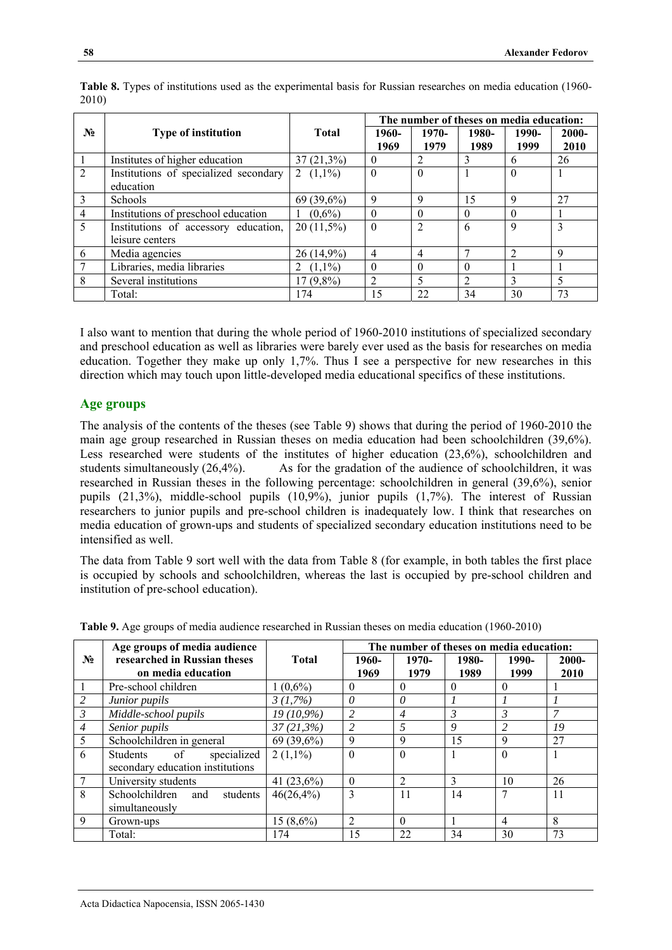|                |                                       |              |                |                |                | The number of theses on media education: |             |  |
|----------------|---------------------------------------|--------------|----------------|----------------|----------------|------------------------------------------|-------------|--|
| $N_2$          | <b>Type of institution</b>            | <b>Total</b> | 1960-          | 1970-          | 1980-          | 1990-                                    | $2000 -$    |  |
|                |                                       |              | 1969           | 1979           | 1989           | 1999                                     | 2010        |  |
|                | Institutes of higher education        | $37(21,3\%)$ | $\Omega$       | 2              | 3              | 6                                        | 26          |  |
| 2              | Institutions of specialized secondary | 2 $(1,1\%)$  | $\theta$       | $\Omega$       |                | $\theta$                                 |             |  |
|                | education                             |              |                |                |                |                                          |             |  |
| 3              | <b>Schools</b>                        | 69 (39,6%)   | 9              | 9              | 15             | Q                                        | 27          |  |
| $\overline{4}$ | Institutions of preschool education   | $(0.6\%)$    | $\theta$       | $\Omega$       | $\Omega$       | $\theta$                                 |             |  |
| 5              | Institutions of accessory education,  | $20(11,5\%)$ | $\theta$       | $\overline{2}$ | 6              | 9                                        | 3           |  |
|                | leisure centers                       |              |                |                |                |                                          |             |  |
| 6              | Media agencies                        | $26(14,9\%)$ | $\overline{4}$ | 4              |                | $\overline{2}$                           | 9           |  |
| 7              | Libraries, media libraries            | $(1,1\%)$    | $\Omega$       | $\Omega$       | $\Omega$       |                                          |             |  |
| 8              | Several institutions                  | $17(9,8\%)$  | $\mathfrak{D}$ | $\varsigma$    | $\overline{2}$ | $\mathcal{L}$                            | $\varsigma$ |  |
|                | Total:                                | 174          | 15             | 22             | 34             | 30                                       | 73          |  |

**Table 8.** Types of institutions used as the experimental basis for Russian researches on media education (1960- 2010)

I also want to mention that during the whole period of 1960-2010 institutions of specialized secondary and preschool education as well as libraries were barely ever used as the basis for researches on media education. Together they make up only 1,7%. Thus I see a perspective for new researches in this direction which may touch upon little-developed media educational specifics of these institutions.

# **Age groups**

The analysis of the contents of the theses (see Table 9) shows that during the period of 1960-2010 the main age group researched in Russian theses on media education had been schoolchildren (39,6%). Less researched were students of the institutes of higher education (23,6%), schoolchildren and students simultaneously  $(26,4\%)$ . As for the gradation of the audience of schoolchildren, it was researched in Russian theses in the following percentage: schoolchildren in general (39,6%), senior pupils (21,3%), middle-school pupils (10,9%), junior pupils (1,7%). The interest of Russian researchers to junior pupils and pre-school children is inadequately low. I think that researches on media education of grown-ups and students of specialized secondary education institutions need to be intensified as well.

The data from Table 9 sort well with the data from Table 8 (for example, in both tables the first place is occupied by schools and schoolchildren, whereas the last is occupied by pre-school children and institution of pre-school education).

|                | Age groups of media audience      |               |                | The number of theses on media education: |          |                |          |
|----------------|-----------------------------------|---------------|----------------|------------------------------------------|----------|----------------|----------|
| $N_2$          | researched in Russian theses      | <b>Total</b>  | 1960-          | 1970-                                    | 1980-    | 1990-          | $2000 -$ |
|                | on media education                |               | 1969           | 1979                                     | 1989     | 1999           | 2010     |
|                | Pre-school children               | $1(0,6\%)$    | $\Omega$       | $\theta$                                 | $\theta$ | 0              |          |
| 2              | Junior pupils                     | 3(1,7%)       | $\theta$       | 0                                        |          |                |          |
| $\mathfrak{Z}$ | Middle-school pupils              | $19(10,9\%)$  | $\overline{2}$ | 4                                        | 3        | 3              |          |
| $\overline{4}$ | Senior pupils                     | $37(21,3\%)$  | $\overline{2}$ | 5                                        | 9        | $\overline{c}$ | 19       |
| 5              | Schoolchildren in general         | $69(39,6\%)$  | 9              | 9                                        | 15       | 9              | 27       |
| 6              | specialized<br>of<br>Students     | $2(1,1\%)$    | $\Omega$       | $\Omega$                                 |          | $\Omega$       |          |
|                | secondary education institutions  |               |                |                                          |          |                |          |
| 7              | University students               | 41 $(23,6\%)$ | $\Omega$       | $\overline{2}$                           | 3        | 10             | 26       |
| 8              | Schoolchildren<br>students<br>and | $46(26, 4\%)$ | 3              | 11                                       | 14       |                | 11       |
|                | simultaneously                    |               |                |                                          |          |                |          |
| 9              | Grown-ups                         | $15(8,6\%)$   | $\mathfrak{D}$ | 0                                        |          | 4              | 8        |
|                | Total:                            | 174           | 15             | 22                                       | 34       | 30             | 73       |

**Table 9.** Age groups of media audience researched in Russian theses on media education (1960-2010)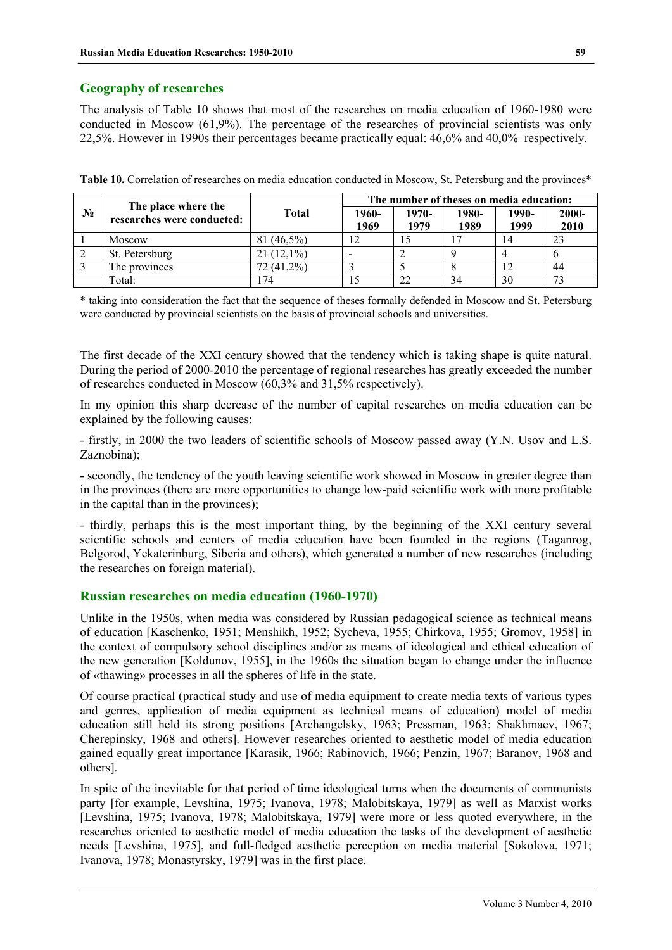# **Geography of researches**

The analysis of Table 10 shows that most of the researches on media education of 1960-1980 were conducted in Moscow (61,9%). The percentage of the researches of provincial scientists was only 22,5%. However in 1990s their percentages became practically equal: 46,6% and 40,0% respectively.

|       | The place where the        |              | The number of theses on media education: |               |               |               |                  |
|-------|----------------------------|--------------|------------------------------------------|---------------|---------------|---------------|------------------|
| $N_2$ | researches were conducted: | <b>Total</b> | 1960-<br>1969                            | 1970-<br>1979 | 1980-<br>1989 | 1990-<br>1999 | $2000 -$<br>2010 |
|       | Moscow                     | 81 (46,5%)   | 12                                       |               |               | 14            |                  |
|       | St. Petersburg             | $(12.1\%)$   |                                          |               |               |               |                  |
|       | The provinces              | $72(41,2\%)$ |                                          |               |               | 12            | 44               |
|       | Total:                     | 74           |                                          | 22            | 34            | 30            | 72               |

**Table 10.** Correlation of researches on media education conducted in Moscow, St. Petersburg and the provinces<sup>\*</sup>

\* taking into consideration the fact that the sequence of theses formally defended in Moscow and St. Petersburg were conducted by provincial scientists on the basis of provincial schools and universities.

The first decade of the XXI century showed that the tendency which is taking shape is quite natural. During the period of 2000-2010 the percentage of regional researches has greatly exceeded the number of researches conducted in Moscow (60,3% and 31,5% respectively).

In my opinion this sharp decrease of the number of capital researches on media education can be explained by the following causes:

- firstly, in 2000 the two leaders of scientific schools of Moscow passed away (Y.N. Usov and L.S. Zaznobina);

- secondly, the tendency of the youth leaving scientific work showed in Moscow in greater degree than in the provinces (there are more opportunities to change low-paid scientific work with more profitable in the capital than in the provinces);

- thirdly, perhaps this is the most important thing, by the beginning of the XXI century several scientific schools and centers of media education have been founded in the regions (Taganrog, Belgorod, Yekaterinburg, Siberia and others), which generated a number of new researches (including the researches on foreign material).

## **Russian researches on media education (1960-1970)**

Unlike in the 1950s, when media was considered by Russian pedagogical science as technical means of education [Kaschenko, 1951; Menshikh, 1952; Sycheva, 1955; Chirkova, 1955; Gromov, 1958] in the context of compulsory school disciplines and/or as means of ideological and ethical education of the new generation [Koldunov, 1955], in the 1960s the situation began to change under the influence of «thawing» processes in all the spheres of life in the state.

Of course practical (practical study and use of media equipment to create media texts of various types and genres, application of media equipment as technical means of education) model of media education still held its strong positions [Archangelsky, 1963; Pressman, 1963; Shakhmaev, 1967; Cherepinsky, 1968 and others]. However researches oriented to aesthetic model of media education gained equally great importance [Karasik, 1966; Rabinovich, 1966; Penzin, 1967; Baranov, 1968 and others].

In spite of the inevitable for that period of time ideological turns when the documents of communists party [for example, Levshina, 1975; Ivanova, 1978; Malobitskaya, 1979] as well as Marxist works [Levshina, 1975; Ivanova, 1978; Malobitskaya, 1979] were more or less quoted everywhere, in the researches oriented to aesthetic model of media education the tasks of the development of aesthetic needs [Levshina, 1975], and full-fledged aesthetic perception on media material [Sokolova, 1971; Ivanova, 1978; Monastyrsky, 1979] was in the first place.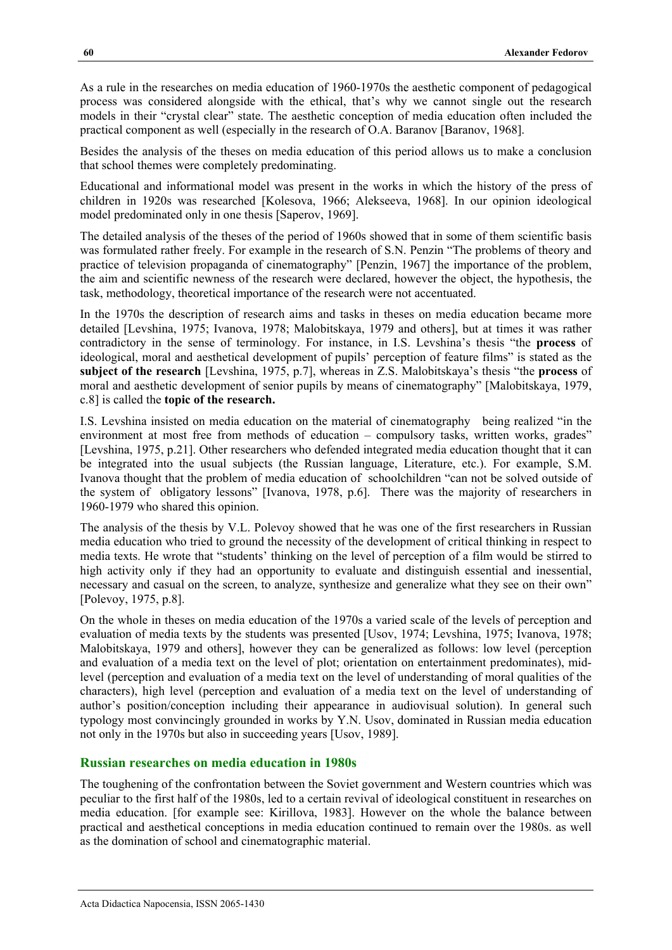As a rule in the researches on media education of 1960-1970s the aesthetic component of pedagogical process was considered alongside with the ethical, that's why we cannot single out the research models in their "crystal clear" state. The aesthetic conception of media education often included the practical component as well (especially in the research of O.A. Baranov [Baranov, 1968].

Besides the analysis of the theses on media education of this period allows us to make a conclusion that school themes were completely predominating.

Educational and informational model was present in the works in which the history of the press of children in 1920s was researched [Kolesova, 1966; Alekseeva, 1968]. In our opinion ideological model predominated only in one thesis [Saperov, 1969].

The detailed analysis of the theses of the period of 1960s showed that in some of them scientific basis was formulated rather freely. For example in the research of S.N. Penzin "The problems of theory and practice of television propaganda of cinematography" [Penzin, 1967] the importance of the problem, the aim and scientific newness of the research were declared, however the object, the hypothesis, the task, methodology, theoretical importance of the research were not accentuated.

In the 1970s the description of research aims and tasks in theses on media education became more detailed [Levshina, 1975; Ivanova, 1978; Malobitskaya, 1979 and others], but at times it was rather contradictory in the sense of terminology. For instance, in I.S. Levshina's thesis "the **process** of ideological, moral and aesthetical development of pupils' perception of feature films" is stated as the **subject of the research** [Levshina, 1975, p.7], whereas in Z.S. Malobitskaya's thesis "the **process** of moral and aesthetic development of senior pupils by means of cinematography" [Malobitskaya, 1979, с.8] is called the **topic of the research.** 

I.S. Levshina insisted on media education on the material of cinematography being realized "in the environment at most free from methods of education – compulsory tasks, written works, grades" [Levshina, 1975, p.21]. Other researchers who defended integrated media education thought that it can be integrated into the usual subjects (the Russian language, Literature, etc.). For example, S.M. Ivanova thought that the problem of media education of schoolchildren "can not be solved outside of the system of obligatory lessons" [Ivanova, 1978, p.6]. There was the majority of researchers in 1960-1979 who shared this opinion.

The analysis of the thesis by V.L. Polevoy showed that he was one of the first researchers in Russian media education who tried to ground the necessity of the development of critical thinking in respect to media texts. He wrote that "students' thinking on the level of perception of a film would be stirred to high activity only if they had an opportunity to evaluate and distinguish essential and inessential, necessary and casual on the screen, to analyze, synthesize and generalize what they see on their own" [Polevoy, 1975, p.8].

On the whole in theses on media education of the 1970s a varied scale of the levels of perception and evaluation of media texts by the students was presented [Usov, 1974; Levshina, 1975; Ivanova, 1978; Malobitskaya, 1979 and others], however they can be generalized as follows: low level (perception and evaluation of a media text on the level of plot; orientation on entertainment predominates), midlevel (perception and evaluation of a media text on the level of understanding of moral qualities of the characters), high level (perception and evaluation of a media text on the level of understanding of author's position/conception including their appearance in audiovisual solution). In general such typology most convincingly grounded in works by Y.N. Usov, dominated in Russian media education not only in the 1970s but also in succeeding years [Usov, 1989].

## **Russian researches on media education in 1980s**

The toughening of the confrontation between the Soviet government and Western countries which was peculiar to the first half of the 1980s, led to a certain revival of ideological constituent in researches on media education. [for example see: Kirillova, 1983]. However on the whole the balance between practical and aesthetical conceptions in media education continued to remain over the 1980s. as well as the domination of school and cinematographic material.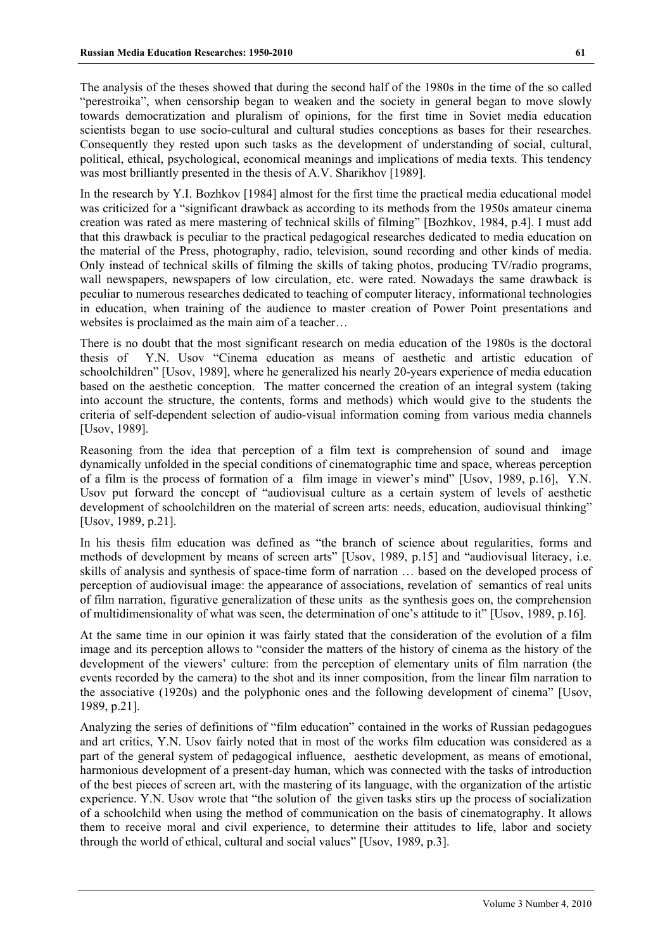The analysis of the theses showed that during the second half of the 1980s in the time of the so called "perestroika", when censorship began to weaken and the society in general began to move slowly towards democratization and pluralism of opinions, for the first time in Soviet media education scientists began to use socio-cultural and cultural studies conceptions as bases for their researches. Consequently they rested upon such tasks as the development of understanding of social, cultural, political, ethical, psychological, economical meanings and implications of media texts. This tendency was most brilliantly presented in the thesis of A.V. Sharikhov [1989].

In the research by Y.I. Bozhkov [1984] almost for the first time the practical media educational model was criticized for a "significant drawback as according to its methods from the 1950s amateur cinema creation was rated as mere mastering of technical skills of filming" [Bozhkov, 1984, p.4]. I must add that this drawback is peculiar to the practical pedagogical researches dedicated to media education on the material of the Press, photography, radio, television, sound recording and other kinds of media. Only instead of technical skills of filming the skills of taking photos, producing TV/radio programs, wall newspapers, newspapers of low circulation, etc. were rated. Nowadays the same drawback is peculiar to numerous researches dedicated to teaching of computer literacy, informational technologies in education, when training of the audience to master creation of Power Point presentations and websites is proclaimed as the main aim of a teacher…

There is no doubt that the most significant research on media education of the 1980s is the doctoral thesis of Y.N. Usov "Cinema education as means of aesthetic and artistic education of schoolchildren" [Usov, 1989], where he generalized his nearly 20-years experience of media education based on the aesthetic conception. The matter concerned the creation of an integral system (taking into account the structure, the contents, forms and methods) which would give to the students the criteria of self-dependent selection of audio-visual information coming from various media channels [Usov, 1989].

Reasoning from the idea that perception of a film text is comprehension of sound and image dynamically unfolded in the special conditions of cinematographic time and space, whereas perception of a film is the process of formation of a film image in viewer's mind" [Usov, 1989, p.16], Y.N. Usov put forward the concept of "audiovisual culture as a certain system of levels of aesthetic development of schoolchildren on the material of screen arts: needs, education, audiovisual thinking" [Usov, 1989, p.21].

In his thesis film education was defined as "the branch of science about regularities, forms and methods of development by means of screen arts" [Usov, 1989, p.15] and "audiovisual literacy, i.e. skills of analysis and synthesis of space-time form of narration … based on the developed process of perception of audiovisual image: the appearance of associations, revelation of semantics of real units of film narration, figurative generalization of these units as the synthesis goes on, the comprehension of multidimensionality of what was seen, the determination of one's attitude to it" [Usov, 1989, p.16].

At the same time in our opinion it was fairly stated that the consideration of the evolution of a film image and its perception allows to "consider the matters of the history of cinema as the history of the development of the viewers' culture: from the perception of elementary units of film narration (the events recorded by the camera) to the shot and its inner composition, from the linear film narration to the associative (1920s) and the polyphonic ones and the following development of cinema" [Usov, 1989, p.21].

Analyzing the series of definitions of "film education" contained in the works of Russian pedagogues and art critics, Y.N. Usov fairly noted that in most of the works film education was considered as a part of the general system of pedagogical influence, aesthetic development, as means of emotional, harmonious development of a present-day human, which was connected with the tasks of introduction of the best pieces of screen art, with the mastering of its language, with the organization of the artistic experience. Y.N. Usov wrote that "the solution of the given tasks stirs up the process of socialization of a schoolchild when using the method of communication on the basis of cinematography. It allows them to receive moral and civil experience, to determine their attitudes to life, labor and society through the world of ethical, cultural and social values" [Usov, 1989, p.3].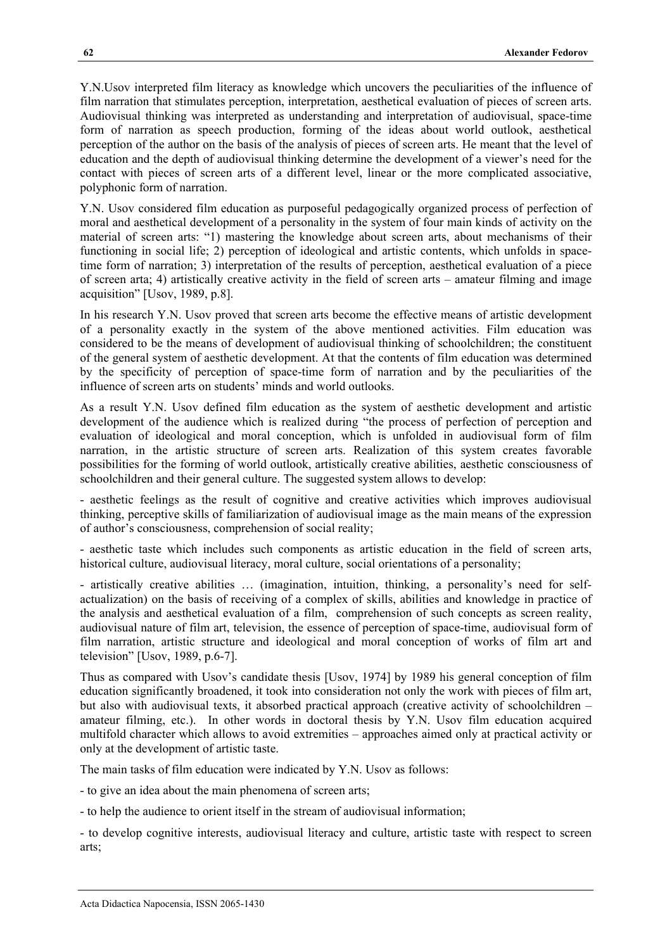Y.N.Usov interpreted film literacy as knowledge which uncovers the peculiarities of the influence of film narration that stimulates perception, interpretation, aesthetical evaluation of pieces of screen arts. Audiovisual thinking was interpreted as understanding and interpretation of audiovisual, space-time form of narration as speech production, forming of the ideas about world outlook, aesthetical perception of the author on the basis of the analysis of pieces of screen arts. He meant that the level of education and the depth of audiovisual thinking determine the development of a viewer's need for the contact with pieces of screen arts of a different level, linear or the more complicated associative, polyphonic form of narration.

Y.N. Usov considered film education as purposeful pedagogically organized process of perfection of moral and aesthetical development of a personality in the system of four main kinds of activity on the material of screen arts: "1) mastering the knowledge about screen arts, about mechanisms of their functioning in social life; 2) perception of ideological and artistic contents, which unfolds in spacetime form of narration; 3) interpretation of the results of perception, aesthetical evaluation of a piece of screen artа; 4) artistically creative activity in the field of screen arts – amateur filming and image acquisition" [Usov, 1989, p.8].

In his research Y.N. Usov proved that screen arts become the effective means of artistic development of a personality exactly in the system of the above mentioned activities. Film education was considered to be the means of development of audiovisual thinking of schoolchildren; the constituent of the general system of aesthetic development. At that the contents of film education was determined by the specificity of perception of space-time form of narration and by the peculiarities of the influence of screen arts on students' minds and world outlooks.

As a result Y.N. Usov defined film education as the system of aesthetic development and artistic development of the audience which is realized during "the process of perfection of perception and evaluation of ideological and moral conception, which is unfolded in audiovisual form of film narration, in the artistic structure of screen arts. Realization of this system creates favorable possibilities for the forming of world outlook, artistically creative abilities, aesthetic consciousness of schoolchildren and their general culture. The suggested system allows to develop:

- aesthetic feelings as the result of cognitive and creative activities which improves audiovisual thinking, perceptive skills of familiarization of audiovisual image as the main means of the expression of author's consciousness, comprehension of social reality;

- aesthetic taste which includes such components as artistic education in the field of screen arts, historical culture, audiovisual literacy, moral culture, social orientations of a personality;

- artistically creative abilities … (imagination, intuition, thinking, a personality's need for selfactualization) on the basis of receiving of a complex of skills, abilities and knowledge in practice of the analysis and aesthetical evaluation of a film, comprehension of such concepts as screen reality, audiovisual nature of film art, television, the essence of perception of space-time, audiovisual form of film narration, artistic structure and ideological and moral conception of works of film art and television" [Usov, 1989, p.6-7].

Thus as compared with Usov's candidate thesis [Usov, 1974] by 1989 his general conception of film education significantly broadened, it took into consideration not only the work with pieces of film art, but also with audiovisual texts, it absorbed practical approach (creative activity of schoolchildren – amateur filming, etc.). In other words in doctoral thesis by Y.N. Usov film education acquired multifold character which allows to avoid extremities – approaches aimed only at practical activity or only at the development of artistic taste.

The main tasks of film education were indicated by Y.N. Usov as follows:

- to give an idea about the main phenomena of screen arts;

- to help the audience to orient itself in the stream of audiovisual information;

- to develop cognitive interests, audiovisual literacy and culture, artistic taste with respect to screen arts;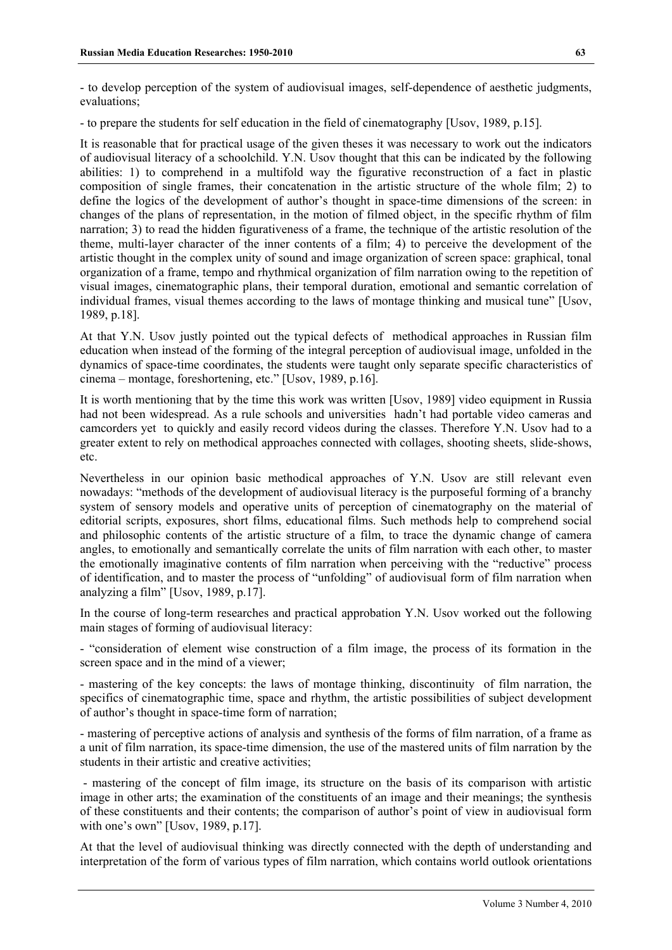- to develop perception of the system of audiovisual images, self-dependence of aesthetic judgments, evaluations;

- to prepare the students for self education in the field of cinematography [Usov, 1989, p.15].

It is reasonable that for practical usage of the given theses it was necessary to work out the indicators of audiovisual literacy of a schoolchild. Y.N. Usov thought that this can be indicated by the following abilities: 1) to comprehend in a multifold way the figurative reconstruction of a fact in plastic composition of single frames, their concatenation in the artistic structure of the whole film; 2) to define the logics of the development of author's thought in space-time dimensions of the screen: in changes of the plans of representation, in the motion of filmed object, in the specific rhythm of film narration; 3) to read the hidden figurativeness of a frame, the technique of the artistic resolution of the theme, multi-layer character of the inner contents of a film; 4) to perceive the development of the artistic thought in the complex unity of sound and image organization of screen space: graphical, tonal organization of a frame, tempo and rhythmical organization of film narration owing to the repetition of visual images, cinematographic plans, their temporal duration, emotional and semantic correlation of individual frames, visual themes according to the laws of montage thinking and musical tune" [Usov, 1989, p.18].

At that Y.N. Usov justly pointed out the typical defects of methodical approaches in Russian film education when instead of the forming of the integral perception of audiovisual image, unfolded in the dynamics of space-time coordinates, the students were taught only separate specific characteristics of cinema – montage, foreshortening, etc." [Usov, 1989, p.16].

It is worth mentioning that by the time this work was written [Usov, 1989] video equipment in Russia had not been widespread. As a rule schools and universities hadn't had portable video cameras and camcorders yet to quickly and easily record videos during the classes. Therefore Y.N. Usov had to a greater extent to rely on methodical approaches connected with collages, shooting sheets, slide-shows, etc.

Nevertheless in our opinion basic methodical approaches of Y.N. Usov are still relevant even nowadays: "methods of the development of audiovisual literacy is the purposeful forming of a branchy system of sensory models and operative units of perception of cinematography on the material of editorial scripts, exposures, short films, educational films. Such methods help to comprehend social and philosophic contents of the artistic structure of a film, to trace the dynamic change of camera angles, to emotionally and semantically correlate the units of film narration with each other, to master the emotionally imaginative contents of film narration when perceiving with the "reductive" process of identification, and to master the process of "unfolding" of audiovisual form of film narration when analyzing a film" [Usov, 1989, p.17].

In the course of long-term researches and practical approbation Y.N. Usov worked out the following main stages of forming of audiovisual literacy:

- "consideration of element wise construction of a film image, the process of its formation in the screen space and in the mind of a viewer;

- mastering of the key concepts: the laws of montage thinking, discontinuity of film narration, the specifics of cinematographic time, space and rhythm, the artistic possibilities of subject development of author's thought in space-time form of narration;

- mastering of perceptive actions of analysis and synthesis of the forms of film narration, of a frame as a unit of film narration, its space-time dimension, the use of the mastered units of film narration by the students in their artistic and creative activities;

 - mastering of the concept of film image, its structure on the basis of its comparison with artistic image in other arts; the examination of the constituents of an image and their meanings; the synthesis of these constituents and their contents; the comparison of author's point of view in audiovisual form with one's own" [Usov, 1989, p.17].

At that the level of audiovisual thinking was directly connected with the depth of understanding and interpretation of the form of various types of film narration, which contains world outlook orientations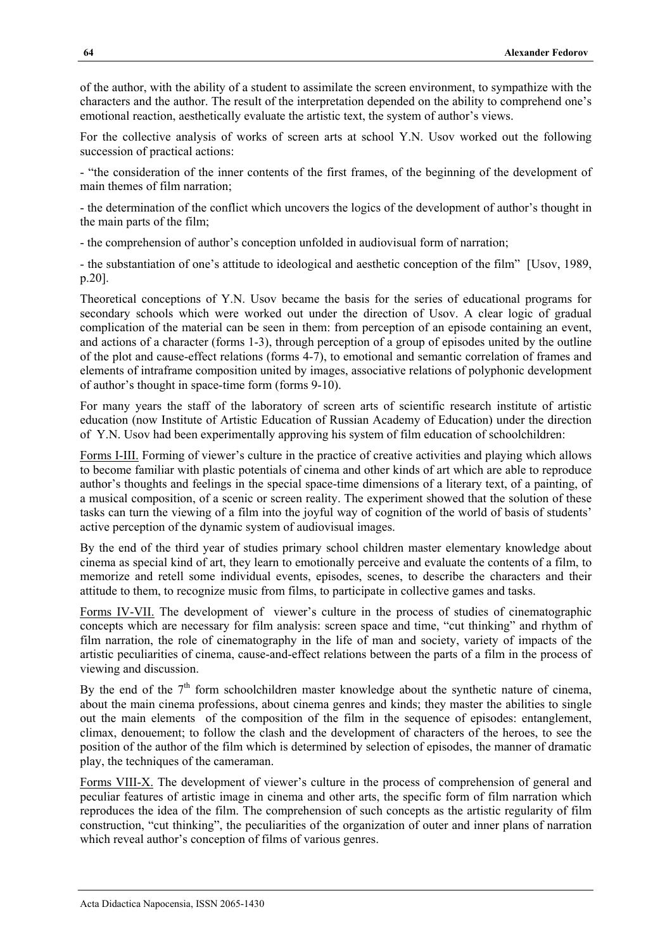of the author, with the ability of a student to assimilate the screen environment, to sympathize with the characters and the author. The result of the interpretation depended on the ability to comprehend one's emotional reaction, aesthetically evaluate the artistic text, the system of author's views.

For the collective analysis of works of screen arts at school Y.N. Usov worked out the following succession of practical actions:

- "the consideration of the inner contents of the first frames, of the beginning of the development of main themes of film narration;

- the determination of the conflict which uncovers the logics of the development of author's thought in the main parts of the film;

- the comprehension of author's conception unfolded in audiovisual form of narration;

- the substantiation of one's attitude to ideological and aesthetic conception of the film" [Usov, 1989, p.20].

Theoretical conceptions of Y.N. Usov became the basis for the series of educational programs for secondary schools which were worked out under the direction of Usov. A clear logic of gradual complication of the material can be seen in them: from perception of an episode containing an event, and actions of a character (forms 1-3), through perception of a group of episodes united by the outline of the plot and cause-effect relations (forms 4-7), to emotional and semantic correlation of frames and elements of intraframe composition united by images, associative relations of polyphonic development of author's thought in space-time form (forms 9-10).

For many years the staff of the laboratory of screen arts of scientific research institute of artistic education (now Institute of Artistic Education of Russian Academy of Education) under the direction of Y.N. Usov had been experimentally approving his system of film education of schoolchildren:

Forms I-III. Forming of viewer's culture in the practice of creative activities and playing which allows to become familiar with plastic potentials of cinema and other kinds of art which are able to reproduce author's thoughts and feelings in the special space-time dimensions of a literary text, of a painting, of a musical composition, of a scenic or screen reality. The experiment showed that the solution of these tasks can turn the viewing of a film into the joyful way of cognition of the world of basis of students' active perception of the dynamic system of audiovisual images.

By the end of the third year of studies primary school children master elementary knowledge about cinema as special kind of art, they learn to emotionally perceive and evaluate the contents of a film, to memorize and retell some individual events, episodes, scenes, to describe the characters and their attitude to them, to recognize music from films, to participate in collective games and tasks.

Forms IV-VII. The development of viewer's culture in the process of studies of cinematographic concepts which are necessary for film analysis: screen space and time, "cut thinking" and rhythm of film narration, the role of cinematography in the life of man and society, variety of impacts of the artistic peculiarities of cinema, cause-and-effect relations between the parts of a film in the process of viewing and discussion.

By the end of the  $7<sup>th</sup>$  form schoolchildren master knowledge about the synthetic nature of cinema, about the main cinema professions, about cinema genres and kinds; they master the abilities to single out the main elements of the composition of the film in the sequence of episodes: entanglement, climax, denouement; to follow the clash and the development of characters of the heroes, to see the position of the author of the film which is determined by selection of episodes, the manner of dramatic play, the techniques of the cameraman.

Forms VIII-X. The development of viewer's culture in the process of comprehension of general and peculiar features of artistic image in cinema and other arts, the specific form of film narration which reproduces the idea of the film. The comprehension of such concepts as the artistic regularity of film construction, "cut thinking", the peculiarities of the organization of outer and inner plans of narration which reveal author's conception of films of various genres.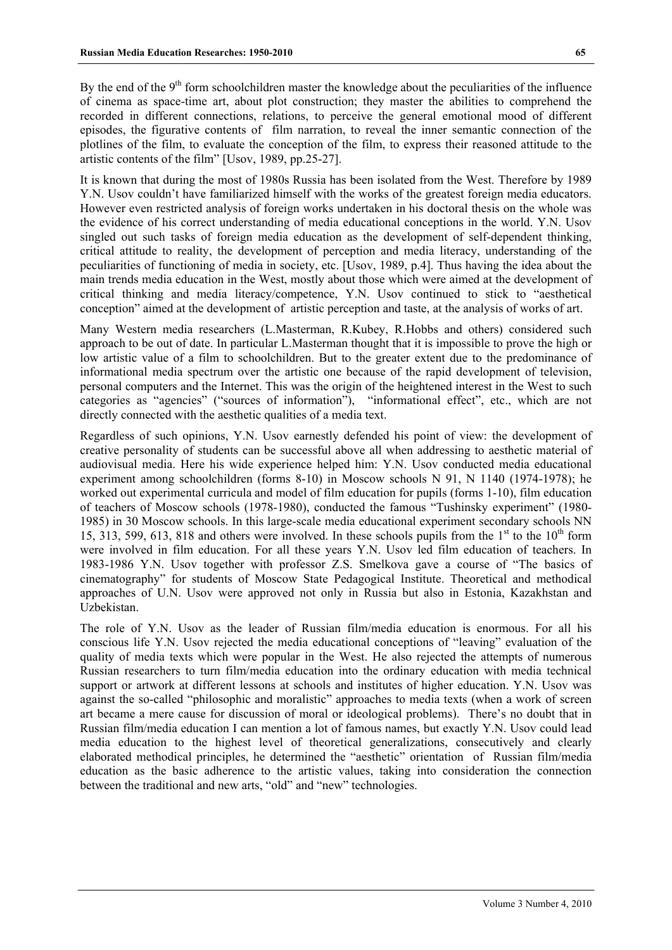By the end of the  $9<sup>th</sup>$  form schoolchildren master the knowledge about the peculiarities of the influence of cinema as space-time art, about plot construction; they master the abilities to comprehend the recorded in different connections, relations, to perceive the general emotional mood of different episodes, the figurative contents of film narration, to reveal the inner semantic connection of the plotlines of the film, to evaluate the conception of the film, to express their reasoned attitude to the artistic contents of the film" [Usov, 1989, pp.25-27].

It is known that during the most of 1980s Russia has been isolated from the West. Therefore by 1989 Y.N. Usov couldn't have familiarized himself with the works of the greatest foreign media educators. However even restricted analysis of foreign works undertaken in his doctoral thesis on the whole was the evidence of his correct understanding of media educational conceptions in the world. Y.N. Usov singled out such tasks of foreign media education as the development of self-dependent thinking, critical attitude to reality, the development of perception and media literacy, understanding of the peculiarities of functioning of media in society, etc. [Usov, 1989, p.4]. Thus having the idea about the main trends media education in the West, mostly about those which were aimed at the development of critical thinking and media literacy/competence, Y.N. Usov continued to stick to "aesthetical conception" aimed at the development of artistic perception and taste, at the analysis of works of art.

Many Western media researchers (L.Masterman, R.Kubey, R.Hobbs and others) considered such approach to be out of date. In particular L.Masterman thought that it is impossible to prove the high or low artistic value of a film to schoolchildren. But to the greater extent due to the predominance of informational media spectrum over the artistic one because of the rapid development of television, personal computers and the Internet. This was the origin of the heightened interest in the West to such categories as "agencies" ("sources of information"), "informational effect", etc., which are not directly connected with the aesthetic qualities of a media text.

Regardless of such opinions, Y.N. Usov earnestly defended his point of view: the development of creative personality of students can be successful above all when addressing to aesthetic material of audiovisual media. Here his wide experience helped him: Y.N. Usov conducted media educational experiment among schoolchildren (forms 8-10) in Moscow schools N 91, N 1140 (1974-1978); he worked out experimental curricula and model of film education for pupils (forms 1-10), film education of teachers of Moscow schools (1978-1980), conducted the famous "Tushinsky experiment" (1980- 1985) in 30 Moscow schools. In this large-scale media educational experiment secondary schools NN 15, 313, 599, 613, 818 and others were involved. In these schools pupils from the  $1<sup>st</sup>$  to the  $10<sup>th</sup>$  form were involved in film education. For all these years Y.N. Usov led film education of teachers. In 1983-1986 Y.N. Usov together with professor Z.S. Smelkova gave a course of "The basics of cinematography" for students of Moscow State Pedagogical Institute. Theoretical and methodical approaches of U.N. Usov were approved not only in Russia but also in Estonia, Kazakhstan and Uzbekistan.

The role of Y.N. Usov as the leader of Russian film/media education is enormous. For all his conscious life Y.N. Usov rejected the media educational conceptions of "leaving" evaluation of the quality of media texts which were popular in the West. He also rejected the attempts of numerous Russian researchers to turn film/media education into the ordinary education with media technical support or artwork at different lessons at schools and institutes of higher education. Y.N. Usov was against the so-called "philosophic and moralistic" approaches to media texts (when a work of screen art became a mere cause for discussion of moral or ideological problems). There's no doubt that in Russian film/media education I can mention a lot of famous names, but exactly Y.N. Usov could lead media education to the highest level of theoretical generalizations, consecutively and clearly elaborated methodical principles, he determined the "aesthetic" orientation of Russian film/media education as the basic adherence to the artistic values, taking into consideration the connection between the traditional and new arts, "old" and "new" technologies.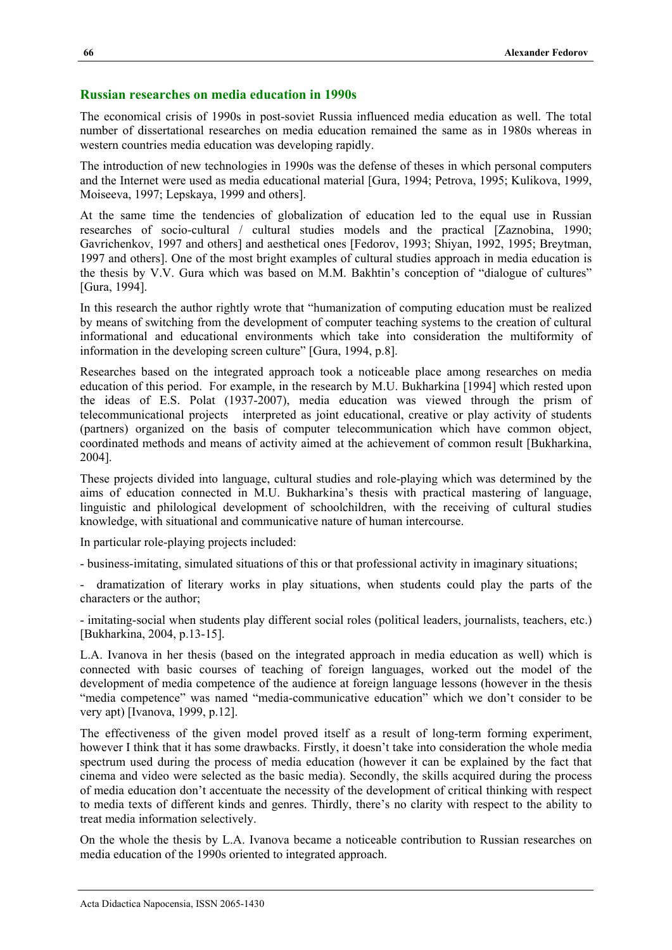#### **Russian researches on media education in 1990s**

The economical crisis of 1990s in post-soviet Russia influenced media education as well. The total number of dissertational researches on media education remained the same as in 1980s whereas in western countries media education was developing rapidly.

The introduction of new technologies in 1990s was the defense of theses in which personal computers and the Internet were used as media educational material [Gura, 1994; Petrova, 1995; Kulikova, 1999, Moiseeva, 1997; Lepskaya, 1999 and others].

At the same time the tendencies of globalization of education led to the equal use in Russian researches of socio-cultural / cultural studies models and the practical [Zaznobina, 1990; Gavrichenkov, 1997 and others] and aesthetical ones [Fedorov, 1993; Shiyan, 1992, 1995; Breytman, 1997 and others]. One of the most bright examples of cultural studies approach in media education is the thesis by V.V. Gura which was based on M.M. Bakhtin's conception of "dialogue of cultures" [Gura, 1994].

In this research the author rightly wrote that "humanization of computing education must be realized by means of switching from the development of computer teaching systems to the creation of cultural informational and educational environments which take into consideration the multiformity of information in the developing screen culture" [Gura, 1994, p.8].

Researches based on the integrated approach took a noticeable place among researches on media education of this period. For example, in the research by M.U. Bukharkina [1994] which rested upon the ideas of E.S. Polat (1937-2007), media education was viewed through the prism of telecommunicational projects interpreted as joint educational, creative or play activity of students (partners) organized on the basis of computer telecommunication which have common object, coordinated methods and means of activity aimed at the achievement of common result [Bukharkina, 2004].

These projects divided into language, cultural studies and role-playing which was determined by the aims of education connected in M.U. Bukharkina's thesis with practical mastering of language, linguistic and philological development of schoolchildren, with the receiving of cultural studies knowledge, with situational and communicative nature of human intercourse.

In particular role-playing projects included:

- business-imitating, simulated situations of this or that professional activity in imaginary situations;
- dramatization of literary works in play situations, when students could play the parts of the characters or the author;

- imitating-social when students play different social roles (political leaders, journalists, teachers, etc.) [Bukharkina, 2004, p.13-15].

L.A. Ivanova in her thesis (based on the integrated approach in media education as well) which is connected with basic courses of teaching of foreign languages, worked out the model of the development of media competence of the audience at foreign language lessons (however in the thesis "media competence" was named "media-communicative education" which we don't consider to be very apt) [Ivanova, 1999, p.12].

The effectiveness of the given model proved itself as a result of long-term forming experiment, however I think that it has some drawbacks. Firstly, it doesn't take into consideration the whole media spectrum used during the process of media education (however it can be explained by the fact that cinema and video were selected as the basic media). Secondly, the skills acquired during the process of media education don't accentuate the necessity of the development of critical thinking with respect to media texts of different kinds and genres. Thirdly, there's no clarity with respect to the ability to treat media information selectively.

On the whole the thesis by L.A. Ivanova became a noticeable contribution to Russian researches on media education of the 1990s oriented to integrated approach.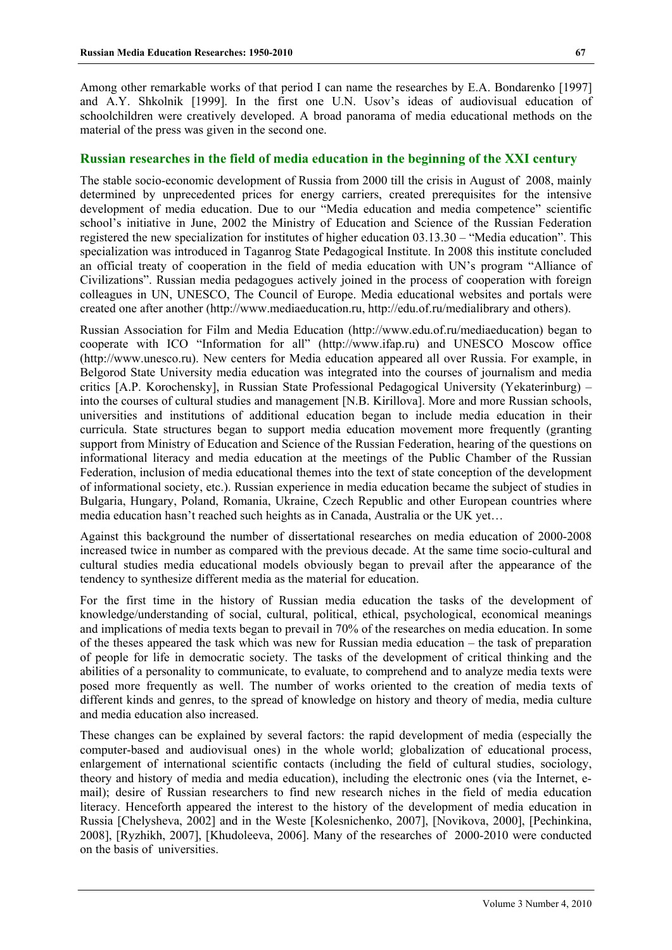Among other remarkable works of that period I can name the researches by E.A. Bondarenko [1997] and A.Y. Shkolnik [1999]. In the first one U.N. Usov's ideas of audiovisual education of schoolchildren were creatively developed. A broad panorama of media educational methods on the material of the press was given in the second one.

## **Russian researches in the field of media education in the beginning of the XXI century**

The stable socio-economic development of Russia from 2000 till the crisis in August of 2008, mainly determined by unprecedented prices for energy carriers, created prerequisites for the intensive development of media education. Due to our "Media education and media competence" scientific school's initiative in June, 2002 the Ministry of Education and Science of the Russian Federation registered the new specialization for institutes of higher education 03.13.30 – "Media education". This specialization was introduced in Taganrog State Pedagogical Institute. In 2008 this institute concluded an official treaty of cooperation in the field of media education with UN's program "Alliance of Civilizations". Russian media pedagogues actively joined in the process of cooperation with foreign colleagues in UN, UNESCO, The Council of Europe. Media educational websites and portals were created one after another (http://www.mediaeducation.ru, http://edu.of.ru/medialibrary and others).

Russian Association for Film and Media Education (http://www.edu.of.ru/mediaeducation) began to cooperate with ICO "Information for all" (http://www.ifap.ru) and UNESCO Moscow office (http://www.unesco.ru). New centers for Media education appeared all over Russia. For example, in Belgorod State University media education was integrated into the courses of journalism and media critics [A.P. Korochensky], in Russian State Professional Pedagogical University (Yekaterinburg) – into the courses of cultural studies and management [N.B. Kirillova]. More and more Russian schools, universities and institutions of additional education began to include media education in their curricula. State structures began to support media education movement more frequently (granting support from Ministry of Education and Science of the Russian Federation, hearing of the questions on informational literacy and media education at the meetings of the Public Chamber of the Russian Federation, inclusion of media educational themes into the text of state conception of the development of informational society, etc.). Russian experience in media education became the subject of studies in Bulgaria, Hungary, Poland, Romania, Ukraine, Czech Republic and other European countries where media education hasn't reached such heights as in Canada, Australia or the UK yet…

Against this background the number of dissertational researches on media education of 2000-2008 increased twice in number as compared with the previous decade. At the same time socio-cultural and cultural studies media educational models obviously began to prevail after the appearance of the tendency to synthesize different media as the material for education.

For the first time in the history of Russian media education the tasks of the development of knowledge/understanding of social, cultural, political, ethical, psychological, economical meanings and implications of media texts began to prevail in 70% of the researches on media education. In some of the theses appeared the task which was new for Russian media education – the task of preparation of people for life in democratic society. The tasks of the development of critical thinking and the abilities of a personality to communicate, to evaluate, to comprehend and to analyze media texts were posed more frequently as well. The number of works oriented to the creation of media texts of different kinds and genres, to the spread of knowledge on history and theory of media, media culture and media education also increased.

These changes can be explained by several factors: the rapid development of media (especially the computer-based and audiovisual ones) in the whole world; globalization of educational process, enlargement of international scientific contacts (including the field of cultural studies, sociology, theory and history of media and media education), including the electronic ones (via the Internet, email); desire of Russian researchers to find new research niches in the field of media education literacy. Henceforth appeared the interest to the history of the development of media education in Russia [Chelysheva, 2002] and in the Westе [Kolesnichenko, 2007], [Novikova, 2000], [Pechinkina, 2008], [Ryzhikh, 2007], [Khudoleeva, 2006]. Many of the researches of 2000-2010 were conducted on the basis of universities.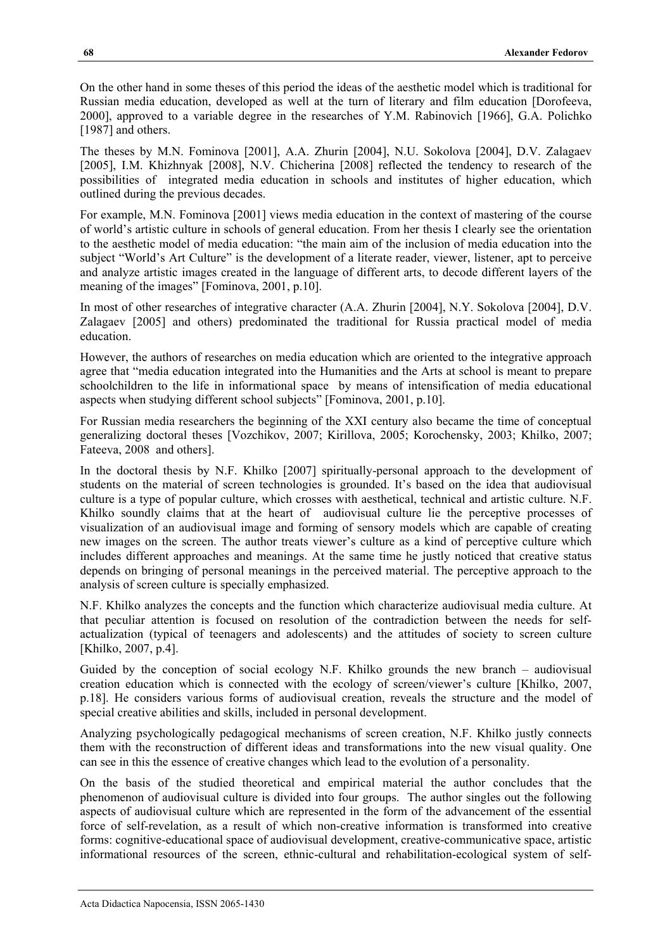On the other hand in some theses of this period the ideas of the aesthetic model which is traditional for Russian media education, developed as well at the turn of literary and film education [Dorofeeva, 2000], approved to a variable degree in the researches of Y.M. Rabinovich [1966], G.A. Polichko [1987] and others.

The theses by M.N. Fominova [2001], A.A. Zhurin [2004], N.U. Sokolova [2004], D.V. Zalagaev [2005], I.M. Khizhnyak [2008], N.V. Chicherina [2008] reflected the tendency to research of the possibilities of integrated media education in schools and institutes of higher education, which outlined during the previous decades.

For example, M.N. Fominova [2001] views media education in the context of mastering of the course of world's artistic culture in schools of general education. From her thesis I clearly see the orientation to the aesthetic model of media education: "the main aim of the inclusion of media education into the subject "World's Art Culture" is the development of a literate reader, viewer, listener, apt to perceive and analyze artistic images created in the language of different arts, to decode different layers of the meaning of the images" [Fominova, 2001, p.10].

In most of other researches of integrative character (A.A. Zhurin [2004], N.Y. Sokolova [2004], D.V. Zalagaev [2005] and others) predominated the traditional for Russia practical model of media education.

However, the authors of researches on media education which are oriented to the integrative approach agree that "media education integrated into the Humanities and the Arts at school is meant to prepare schoolchildren to the life in informational space by means of intensification of media educational aspects when studying different school subjects" [Fominova, 2001, p.10].

For Russian media researchers the beginning of the XXI century also became the time of conceptual generalizing doctoral theses [Vozchikov, 2007; Kirillova, 2005; Korochensky, 2003; Khilko, 2007; Fateeva, 2008 and others].

In the doctoral thesis by N.F. Khilko [2007] spiritually-personal approach to the development of students on the material of screen technologies is grounded. It's based on the idea that audiovisual culture is a type of popular culture, which crosses with aesthetical, technical and artistic culture. N.F. Khilko soundly claims that at the heart of audiovisual culture lie the perceptive processes of visualization of an audiovisual image and forming of sensory models which are capable of creating new images on the screen. The author treats viewer's culture as a kind of perceptive culture which includes different approaches and meanings. At the same time he justly noticed that creative status depends on bringing of personal meanings in the perceived material. The perceptive approach to the analysis of screen culture is specially emphasized.

N.F. Khilko analyzes the concepts and the function which characterize audiovisual media culture. At that peculiar attention is focused on resolution of the contradiction between the needs for selfactualization (typical of teenagers and adolescents) and the attitudes of society to screen culture [Khilko, 2007, p.4].

Guided by the conception of social ecology N.F. Khilko grounds the new branch – audiovisual creation education which is connected with the ecology of screen/viewer's culture [Khilko, 2007, p.18]. He considers various forms of audiovisual creation, reveals the structure and the model of special creative abilities and skills, included in personal development.

Analyzing psychologically pedagogical mechanisms of screen creation, N.F. Khilko justly connects them with the reconstruction of different ideas and transformations into the new visual quality. One can see in this the essence of creative changes which lead to the evolution of a personality.

On the basis of the studied theoretical and empirical material the author concludes that the phenomenon of audiovisual culture is divided into four groups. The author singles out the following aspects of audiovisual culture which are represented in the form of the advancement of the essential force of self-revelation, as a result of which non-creative information is transformed into creative forms: cognitive-educational space of audiovisual development, creative-communicative space, artistic informational resources of the screen, ethnic-cultural and rehabilitation-ecological system of self-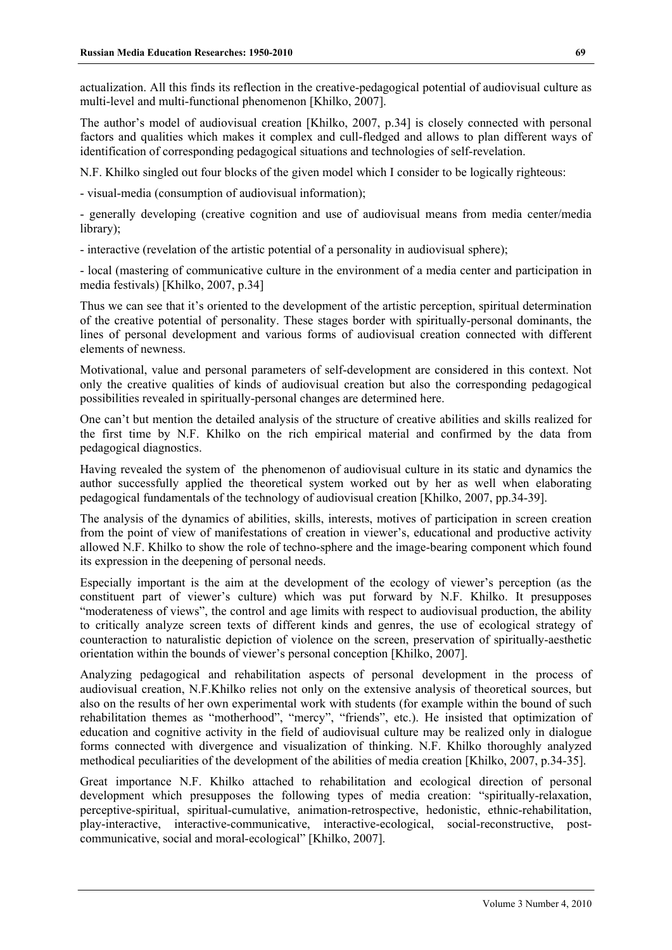actualization. All this finds its reflection in the creative-pedagogical potential of audiovisual culture as multi-level and multi-functional phenomenon [Khilko, 2007].

The author's model of audiovisual creation [Khilko, 2007, p.34] is closely connected with personal factors and qualities which makes it complex and cull-fledged and allows to plan different ways of identification of corresponding pedagogical situations and technologies of self-revelation.

N.F. Khilko singled out four blocks of the given model which I consider to be logically righteous:

- visual-media (consumption of audiovisual information);

- generally developing (creative cognition and use of audiovisual means from media center/media library);

- interactive (revelation of the artistic potential of a personality in audiovisual sphere);

- local (mastering of communicative culture in the environment of a media center and participation in media festivals) [Khilko, 2007, p.34]

Thus we can see that it's oriented to the development of the artistic perception, spiritual determination of the creative potential of personality. These stages border with spiritually-personal dominants, the lines of personal development and various forms of audiovisual creation connected with different elements of newness.

Motivational, value and personal parameters of self-development are considered in this context. Not only the creative qualities of kinds of audiovisual creation but also the corresponding pedagogical possibilities revealed in spiritually-personal changes are determined here.

One can't but mention the detailed analysis of the structure of creative abilities and skills realized for the first time by N.F. Khilko on the rich empirical material and confirmed by the data from pedagogical diagnostics.

Having revealed the system of the phenomenon of audiovisual culture in its static and dynamics the author successfully applied the theoretical system worked out by her as well when elaborating pedagogical fundamentals of the technology of audiovisual creation [Khilko, 2007, pp.34-39].

The analysis of the dynamics of abilities, skills, interests, motives of participation in screen creation from the point of view of manifestations of creation in viewer's, educational and productive activity allowed N.F. Khilko to show the role of techno-sphere and the image-bearing component which found its expression in the deepening of personal needs.

Especially important is the aim at the development of the ecology of viewer's perception (as the constituent part of viewer's culture) which was put forward by N.F. Khilko. It presupposes "moderateness of views", the control and age limits with respect to audiovisual production, the ability to critically analyze screen texts of different kinds and genres, the use of ecological strategy of counteraction to naturalistic depiction of violence on the screen, preservation of spiritually-aesthetic orientation within the bounds of viewer's personal conception [Khilko, 2007].

Analyzing pedagogical and rehabilitation aspects of personal development in the process of audiovisual creation, N.F.Khilko relies not only on the extensive analysis of theoretical sources, but also on the results of her own experimental work with students (for example within the bound of such rehabilitation themes as "motherhood", "mercy", "friends", etc.). He insisted that optimization of education and cognitive activity in the field of audiovisual culture may be realized only in dialogue forms connected with divergence and visualization of thinking. N.F. Khilko thoroughly analyzed methodical peculiarities of the development of the abilities of media creation [Khilko, 2007, p.34-35].

Great importance N.F. Khilko attached to rehabilitation and ecological direction of personal development which presupposes the following types of media creation: "spiritually-relaxation, perceptive-spiritual, spiritual-cumulative, animation-retrospective, hedonistic, ethnic-rehabilitation, play-interactive, interactive-communicative, interactive-ecological, social-reconstructive, postcommunicative, social and moral-ecological" [Khilko, 2007].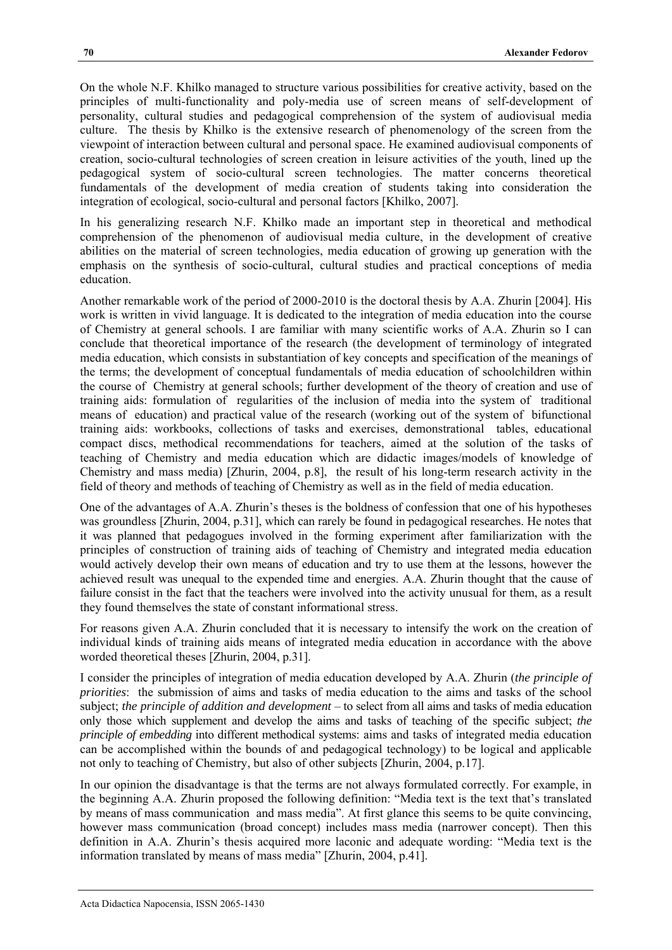On the whole N.F. Khilko managed to structure various possibilities for creative activity, based on the principles of multi-functionality and poly-media use of screen means of self-development of personality, cultural studies and pedagogical comprehension of the system of audiovisual media culture. The thesis by Khilko is the extensive research of phenomenology of the screen from the viewpoint of interaction between cultural and personal space. He examined audiovisual components of creation, socio-cultural technologies of screen creation in leisure activities of the youth, lined up the pedagogical system of socio-cultural screen technologies. The matter concerns theoretical fundamentals of the development of media creation of students taking into consideration the integration of ecological, socio-cultural and personal factors [Khilko, 2007].

In his generalizing research N.F. Khilko made an important step in theoretical and methodical comprehension of the phenomenon of audiovisual media culture, in the development of creative abilities on the material of screen technologies, media education of growing up generation with the emphasis on the synthesis of socio-cultural, cultural studies and practical conceptions of media education.

Another remarkable work of the period of 2000-2010 is the doctoral thesis by A.A. Zhurin [2004]. His work is written in vivid language. It is dedicated to the integration of media education into the course of Chemistry at general schools. I are familiar with many scientific works of A.A. Zhurin so I can conclude that theoretical importance of the research (the development of terminology of integrated media education, which consists in substantiation of key concepts and specification of the meanings of the terms; the development of conceptual fundamentals of media education of schoolchildren within the course of Chemistry at general schools; further development of the theory of creation and use of training aids: formulation of regularities of the inclusion of media into the system of traditional means of education) and practical value of the research (working out of the system of bifunctional training aids: workbooks, collections of tasks and exercises, demonstrational tables, educational compact discs, methodical recommendations for teachers, aimed at the solution of the tasks of teaching of Chemistry and media education which are didactic images/models of knowledge of Chemistry and mass media) [Zhurin, 2004, p.8], the result of his long-term research activity in the field of theory and methods of teaching of Chemistry as well as in the field of media education.

One of the advantages of A.A. Zhurin's theses is the boldness of confession that one of his hypotheses was groundless [Zhurin, 2004, p.31], which can rarely be found in pedagogical researches. He notes that it was planned that pedagogues involved in the forming experiment after familiarization with the principles of construction of training aids of teaching of Chemistry and integrated media education would actively develop their own means of education and try to use them at the lessons, however the achieved result was unequal to the expended time and energies. A.A. Zhurin thought that the cause of failure consist in the fact that the teachers were involved into the activity unusual for them, as a result they found themselves the state of constant informational stress.

For reasons given A.A. Zhurin concluded that it is necessary to intensify the work on the creation of individual kinds of training aids means of integrated media education in accordance with the above worded theoretical theses [Zhurin, 2004, p.31].

I consider the principles of integration of media education developed by A.A. Zhurin (*the principle of priorities*: the submission of aims and tasks of media education to the aims and tasks of the school subject; *the principle of addition and development* – to select from all aims and tasks of media education only those which supplement and develop the aims and tasks of teaching of the specific subject; *the principle of embedding* into different methodical systems: aims and tasks of integrated media education can be accomplished within the bounds of and pedagogical technology) to be logical and applicable not only to teaching of Chemistry, but also of other subjects [Zhurin, 2004, p.17].

In our opinion the disadvantage is that the terms are not always formulated correctly. For example, in the beginning A.A. Zhurin proposed the following definition: "Media text is the text that's translated by means of mass communication and mass media". At first glance this seems to be quite convincing, however mass communication (broad concept) includes mass media (narrower concept). Then this definition in A.A. Zhurin's thesis acquired more laconic and adequate wording: "Media text is the information translated by means of mass media" [Zhurin, 2004, p.41].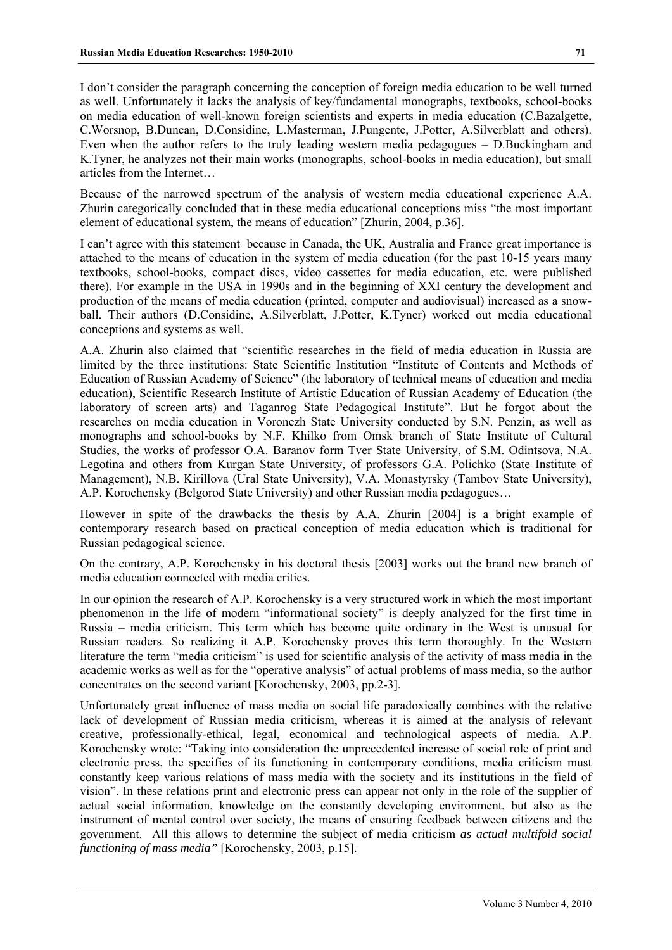I don't consider the paragraph concerning the conception of foreign media education to be well turned as well. Unfortunately it lacks the analysis of key/fundamental monographs, textbooks, school-books on media education of well-known foreign scientists and experts in media education (C.Bazalgette, C.Worsnop, B.Duncan, D.Considine, L.Masterman, J.Pungente, J.Potter, A.Silverblatt and others). Even when the author refers to the truly leading western media pedagogues – D.Buckingham and K.Tyner, he analyzes not their main works (monographs, school-books in media education), but small articles from the Internet…

Because of the narrowed spectrum of the analysis of western media educational experience A.A. Zhurin categorically concluded that in these media educational conceptions miss "the most important element of educational system, the means of education" [Zhurin, 2004, p.36].

I can't agree with this statement because in Canada, the UK, Australia and France great importance is attached to the means of education in the system of media education (for the past 10-15 years many textbooks, school-books, compact discs, video cassettes for media education, etc. were published there). For example in the USA in 1990s and in the beginning of XXI century the development and production of the means of media education (printed, computer and audiovisual) increased as a snowball. Their authors (D.Considine, A.Silverblatt, J.Potter, K.Tyner) worked out media educational conceptions and systems as well.

A.A. Zhurin also claimed that "scientific researches in the field of media education in Russia are limited by the three institutions: State Scientific Institution "Institute of Contents and Methods of Education of Russian Academy of Science" (the laboratory of technical means of education and media education), Scientific Research Institute of Artistic Education of Russian Academy of Education (the laboratory of screen arts) and Taganrog State Pedagogical Institute". But he forgot about the researches on media education in Voronezh State University conducted by S.N. Penzin, as well as monographs and school-books by N.F. Khilko from Omsk branch of State Institute of Cultural Studies, the works of professor O.A. Baranov form Tver State University, of S.M. Odintsova, N.A. Legotina and others from Kurgan State University, of professors G.A. Polichko (State Institute of Management), N.B. Kirillova (Ural State University), V.A. Monastyrsky (Tambov State University), A.P. Korochensky (Belgorod State University) and other Russian media pedagogues…

However in spite of the drawbacks the thesis by A.A. Zhurin [2004] is a bright example of contemporary research based on practical conception of media education which is traditional for Russian pedagogical science.

On the contrary, A.P. Korochensky in his doctoral thesis [2003] works out the brand new branch of media education connected with media critics.

In our opinion the research of A.P. Korochensky is a very structured work in which the most important phenomenon in the life of modern "informational society" is deeply analyzed for the first time in Russia – media criticism. This term which has become quite ordinary in the West is unusual for Russian readers. So realizing it A.P. Korochensky proves this term thoroughly. In the Western literature the term "media criticism" is used for scientific analysis of the activity of mass media in the academic works as well as for the "operative analysis" of actual problems of mass media, so the author concentrates on the second variant [Korochensky, 2003, pp.2-3].

Unfortunately great influence of mass media on social life paradoxically combines with the relative lack of development of Russian media criticism, whereas it is aimed at the analysis of relevant creative, professionally-ethical, legal, economical and technological aspects of media. A.P. Korochensky wrote: "Taking into consideration the unprecedented increase of social role of print and electronic press, the specifics of its functioning in contemporary conditions, media criticism must constantly keep various relations of mass media with the society and its institutions in the field of vision". In these relations print and electronic press can appear not only in the role of the supplier of actual social information, knowledge on the constantly developing environment, but also as the instrument of mental control over society, the means of ensuring feedback between citizens and the government. All this allows to determine the subject of media criticism *as actual multifold social functioning of mass media"* [Korochensky, 2003, p.15].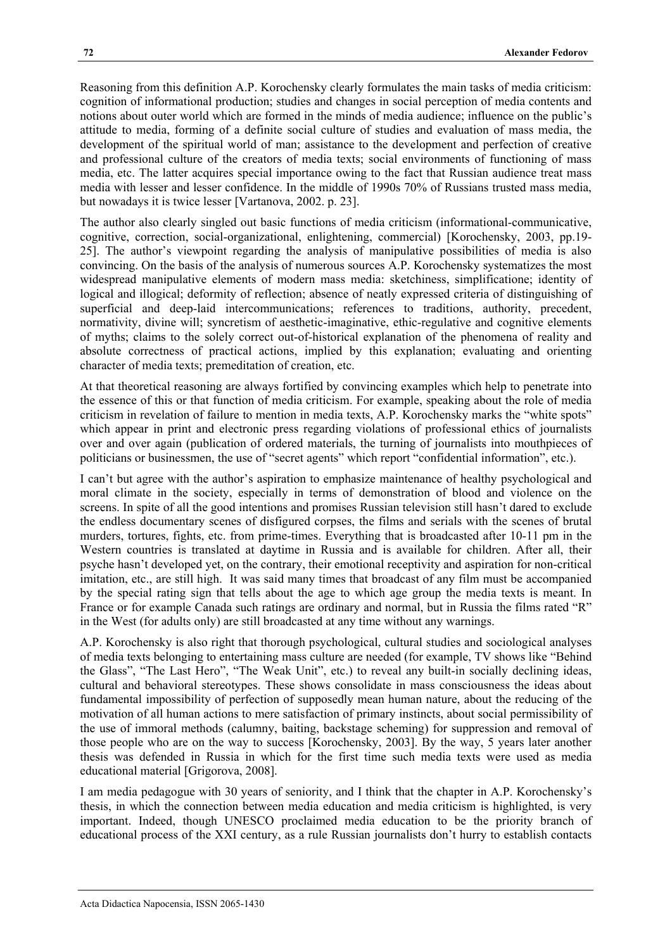Reasoning from this definition A.P. Korochensky clearly formulates the main tasks of media criticism: cognition of informational production; studies and changes in social perception of media contents and notions about outer world which are formed in the minds of media audience; influence on the public's attitude to media, forming of a definite social culture of studies and evaluation of mass media, the development of the spiritual world of man; assistance to the development and perfection of creative and professional culture of the creators of media texts; social environments of functioning of mass media, etc. The latter acquires special importance owing to the fact that Russian audience treat mass media with lesser and lesser confidence. In the middle of 1990s 70% of Russians trusted mass media, but nowadays it is twice lesser [Vartanova, 2002. p. 23].

The author also clearly singled out basic functions of media criticism (informational-communicative, cognitive, correction, social-organizational, enlightening, commercial) [Korochensky, 2003, pp.19- 25]. The author's viewpoint regarding the analysis of manipulative possibilities of media is also convincing. On the basis of the analysis of numerous sources A.P. Korochensky systematizes the most widespread manipulative elements of modern mass media: sketchiness, simplificationе; identity of logical and illogical; deformity of reflection; absence of neatly expressed criteria of distinguishing of superficial and deep-laid intercommunications; references to traditions, authority, precedent, normativity, divine will; syncretism of aesthetic-imaginative, ethic-regulative and cognitive elements of myths; claims to the solely correct out-of-historical explanation of the phenomena of reality and absolute correctness of practical actions, implied by this explanation; evaluating and orienting character of media texts; premeditation of creation, etc.

At that theoretical reasoning are always fortified by convincing examples which help to penetrate into the essence of this or that function of media criticism. For example, speaking about the role of media criticism in revelation of failure to mention in media texts, A.P. Korochensky marks the "white spots" which appear in print and electronic press regarding violations of professional ethics of journalists over and over again (publication of ordered materials, the turning of journalists into mouthpieces of politicians or businessmen, the use of "secret agents" which report "confidential information", etc.).

I can't but agree with the author's aspiration to emphasize maintenance of healthy psychological and moral climate in the society, especially in terms of demonstration of blood and violence on the screens. In spite of all the good intentions and promises Russian television still hasn't dared to exclude the endless documentary scenes of disfigured corpses, the films and serials with the scenes of brutal murders, tortures, fights, etc. from prime-times. Everything that is broadcasted after 10-11 pm in the Western countries is translated at daytime in Russia and is available for children. After all, their psyche hasn't developed yet, on the contrary, their emotional receptivity and aspiration for non-critical imitation, etc., are still high. It was said many times that broadcast of any film must be accompanied by the special rating sign that tells about the age to which age group the media texts is meant. In France or for example Canada such ratings are ordinary and normal, but in Russia the films rated "R" in the West (for adults only) are still broadcasted at any time without any warnings.

A.P. Korochensky is also right that thorough psychological, cultural studies and sociological analyses of media texts belonging to entertaining mass culture are needed (for example, TV shows like "Behind the Glass", "The Last Hero", "The Weak Unit", etc.) to reveal any built-in socially declining ideas, cultural and behavioral stereotypes. These shows consolidate in mass consciousness the ideas about fundamental impossibility of perfection of supposedly mean human nature, about the reducing of the motivation of all human actions to mere satisfaction of primary instincts, about social permissibility of the use of immoral methods (calumny, baiting, backstage scheming) for suppression and removal of those people who are on the way to success [Korochensky, 2003]. By the way, 5 years later another thesis was defended in Russia in which for the first time such media texts were used as media educational material [Grigorova, 2008].

I am media pedagogue with 30 years of seniority, and I think that the chapter in A.P. Korochensky's thesis, in which the connection between media education and media criticism is highlighted, is very important. Indeed, though UNESCO proclaimed media education to be the priority branch of educational process of the XXI century, as a rule Russian journalists don't hurry to establish contacts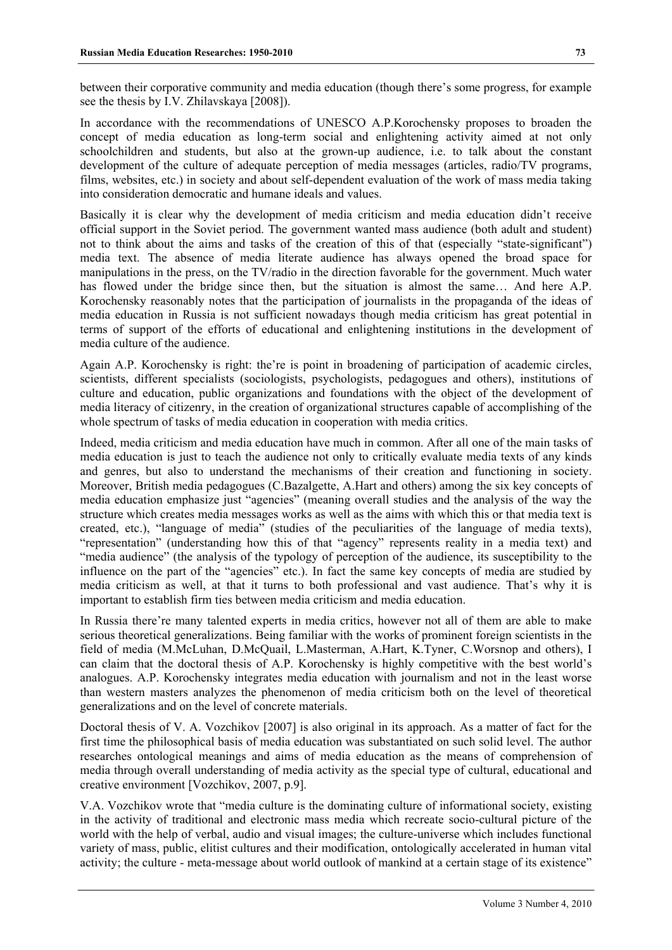In accordance with the recommendations of UNESCO A.P.Korochensky proposes to broaden the concept of media education as long-term social and enlightening activity aimed at not only schoolchildren and students, but also at the grown-up audience, i.e. to talk about the constant development of the culture of adequate perception of media messages (articles, radio/TV programs, films, websites, etc.) in society and about self-dependent evaluation of the work of mass media taking into consideration democratic and humane ideals and values.

Basically it is clear why the development of media criticism and media education didn't receive official support in the Soviet period. The government wanted mass audience (both adult and student) not to think about the aims and tasks of the creation of this of that (especially "state-significant") media text. The absence of media literate audience has always opened the broad space for manipulations in the press, on the TV/radio in the direction favorable for the government. Much water has flowed under the bridge since then, but the situation is almost the same… And here A.P. Korochensky reasonably notes that the participation of journalists in the propaganda of the ideas of media education in Russia is not sufficient nowadays though media criticism has great potential in terms of support of the efforts of educational and enlightening institutions in the development of media culture of the audience.

Again A.P. Korochensky is right: the're is point in broadening of participation of academic circles, scientists, different specialists (sociologists, psychologists, pedagogues and others), institutions of culture and education, public organizations and foundations with the object of the development of media literacy of citizenry, in the creation of organizational structures capable of accomplishing of the whole spectrum of tasks of media education in cooperation with media critics.

Indeed, media criticism and media education have much in common. After all one of the main tasks of media education is just to teach the audience not only to critically evaluate media texts of any kinds and genres, but also to understand the mechanisms of their creation and functioning in society. Moreover, British media pedagogues (C.Bazalgette, A.Hart and others) among the six key concepts of media education emphasize just "agencies" (meaning overall studies and the analysis of the way the structure which creates media messages works as well as the aims with which this or that media text is created, etc.), "language of media" (studies of the peculiarities of the language of media texts), "representation" (understanding how this of that "agency" represents reality in a media text) and "media audience" (the analysis of the typology of perception of the audience, its susceptibility to the influence on the part of the "agencies" etc.). In fact the same key concepts of media are studied by media criticism as well, at that it turns to both professional and vast audience. That's why it is important to establish firm ties between media criticism and media education.

In Russia there're many talented experts in media critics, however not all of them are able to make serious theoretical generalizations. Being familiar with the works of prominent foreign scientists in the field of media (M.McLuhan, D.McQuail, L.Masterman, A.Hart, K.Tyner, C.Worsnop and others), I can claim that the doctoral thesis of A.P. Korochensky is highly competitive with the best world's analogues. A.P. Korochensky integrates media education with journalism and not in the least worse than western masters analyzes the phenomenon of media criticism both on the level of theoretical generalizations and on the level of concrete materials.

Doctoral thesis of V. A. Vozchikov [2007] is also original in its approach. As a matter of fact for the first time the philosophical basis of media education was substantiated on such solid level. The author researches ontological meanings and aims of media education as the means of comprehension of media through overall understanding of media activity as the special type of cultural, educational and creative environment [Vozchikov, 2007, p.9].

V.A. Vozchikov wrote that "media culture is the dominating culture of informational society, existing in the activity of traditional and electronic mass media which recreate socio-cultural picture of the world with the help of verbal, audio and visual images; the culture-universe which includes functional variety of mass, public, elitist cultures and their modification, ontologically accelerated in human vital activity; the culture - meta-message about world outlook of mankind at a certain stage of its existence"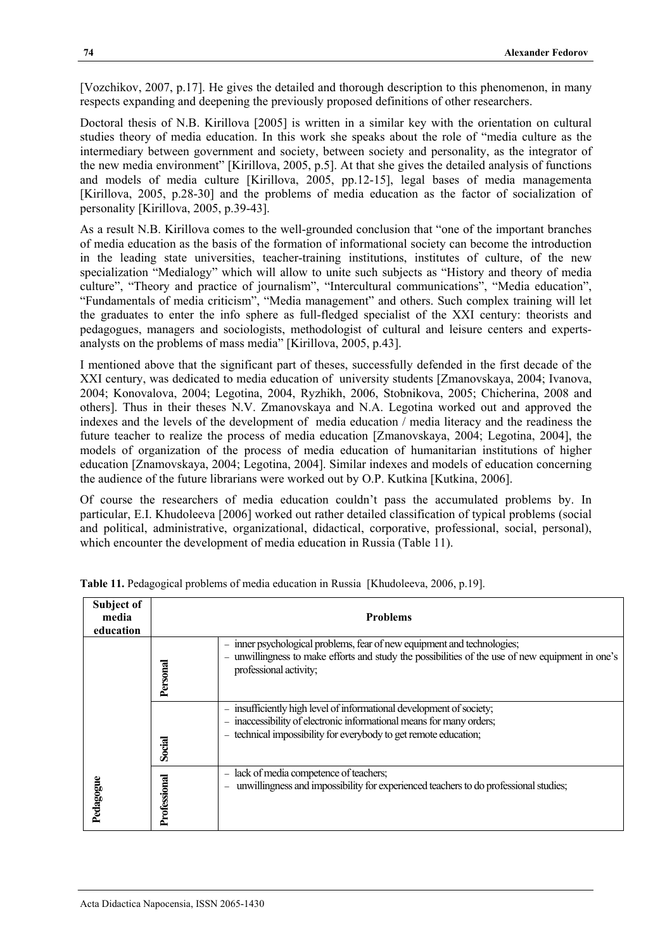[Vozchikov, 2007, p.17]. He gives the detailed and thorough description to this phenomenon, in many respects expanding and deepening the previously proposed definitions of other researchers.

Doctoral thesis of N.B. Kirillova [2005] is written in a similar key with the orientation on cultural studies theory of media education. In this work she speaks about the role of "media culture as the intermediary between government and society, between society and personality, as the integrator of the new media environment" [Kirillova, 2005, p.5]. At that she gives the detailed analysis of functions and models of media culture [Kirillova, 2005, pp.12-15], legal bases of media managementа [Kirillova, 2005, p.28-30] and the problems of media education as the factor of socialization of personality [Kirillova, 2005, p.39-43].

As a result N.B. Kirillova comes to the well-grounded conclusion that "one of the important branches of media education as the basis of the formation of informational society can become the introduction in the leading state universities, teacher-training institutions, institutes of culture, of the new specialization "Medialogy" which will allow to unite such subjects as "History and theory of media culture", "Theory and practice of journalism", "Intercultural communications", "Media education", "Fundamentals of media criticism", "Media management" and others. Such complex training will let the graduates to enter the info sphere as full-fledged specialist of the XXI century: theorists and pedagogues, managers and sociologists, methodologist of cultural and leisure centers and expertsanalysts on the problems of mass media" [Kirillova, 2005, p.43].

I mentioned above that the significant part of theses, successfully defended in the first decade of the XXI century, was dedicated to media education of university students [Zmanovskaya, 2004; Ivanova, 2004; Konovalova, 2004; Legotina, 2004, Ryzhikh, 2006, Stobnikova, 2005; Chicherina, 2008 and others]. Thus in their theses N.V. Zmanovskaya and N.A. Legotina worked out and approved the indexes and the levels of the development of media education / media literacy and the readiness the future teacher to realize the process of media education [Zmanovskaya, 2004; Legotina, 2004], the models of organization of the process of media education of humanitarian institutions of higher education [Znamovskaya, 2004; Legotina, 2004]. Similar indexes and models of education concerning the audience of the future librarians were worked out by O.P. Kutkina [Kutkina, 2006].

Of course the researchers of media education couldn't pass the accumulated problems by. In particular, E.I. Khudoleeva [2006] worked out rather detailed classification of typical problems (social and political, administrative, organizational, didactical, corporative, professional, social, personal), which encounter the development of media education in Russia (Table 11).

| Subject of<br>media<br>education |              | <b>Problems</b>                                                                                                                                                                                                  |
|----------------------------------|--------------|------------------------------------------------------------------------------------------------------------------------------------------------------------------------------------------------------------------|
|                                  | Personal     | - inner psychological problems, fear of new equipment and technologies;<br>- unwillingness to make efforts and study the possibilities of the use of new equipment in one's<br>professional activity;            |
|                                  | Social       | - insufficiently high level of informational development of society;<br>- inaccessibility of electronic informational means for many orders;<br>- technical impossibility for everybody to get remote education; |
| Pedagogue                        | Professional | lack of media competence of teachers;<br>unwillingness and impossibility for experienced teachers to do professional studies;                                                                                    |

**Table 11.** Pedagogical problems of media education in Russia [Khudoleeva, 2006, p.19].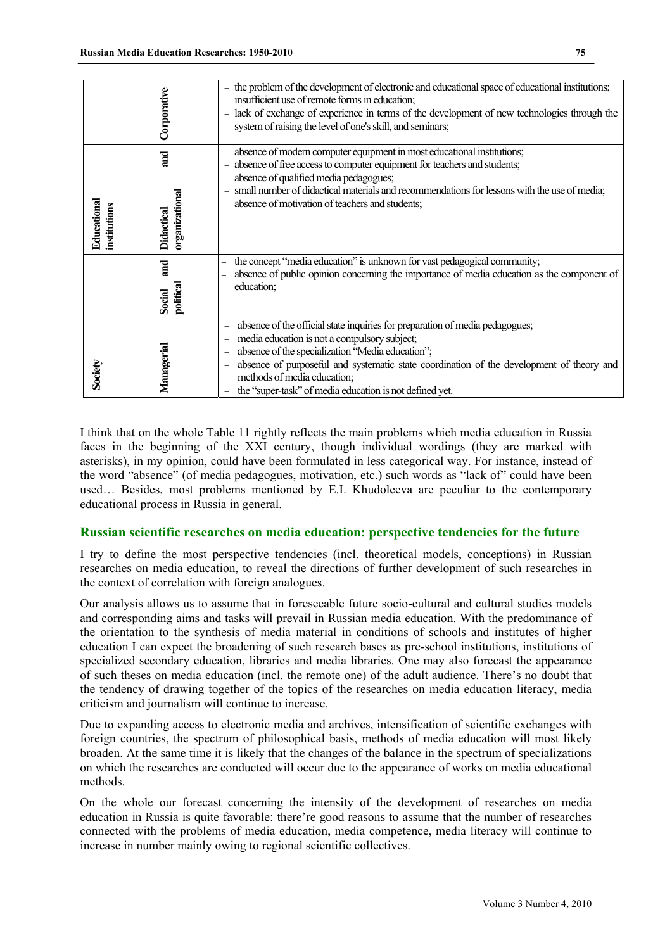|                             | Corporative                         | the problem of the development of electronic and educational space of educational institutions;<br>insufficient use of remote forms in education;<br>lack of exchange of experience in terms of the development of new technologies through the<br>system of raising the level of one's skill, and seminars;                                                           |
|-----------------------------|-------------------------------------|------------------------------------------------------------------------------------------------------------------------------------------------------------------------------------------------------------------------------------------------------------------------------------------------------------------------------------------------------------------------|
| Educational<br>institutions | and<br>organizational<br>Didactical | absence of modern computer equipment in most educational institutions;<br>absence of free access to computer equipment for teachers and students;<br>absence of qualified media pedagogues;<br>small number of didactical materials and recommendations for lessons with the use of media;<br>absence of motivation of teachers and students;                          |
|                             | and<br>political<br>Social          | the concept "media education" is unknown for vast pedagogical community;<br>absence of public opinion concerning the importance of media education as the component of<br>education;                                                                                                                                                                                   |
| Society                     | Managerial                          | absence of the official state inquiries for preparation of media pedagogues;<br>media education is not a compulsory subject;<br>absence of the specialization "Media education";<br>absence of purposeful and systematic state coordination of the development of theory and<br>methods of media education;<br>the "super-task" of media education is not defined yet. |

I think that on the whole Table 11 rightly reflects the main problems which media education in Russia faces in the beginning of the XXI century, though individual wordings (they are marked with asterisks), in my opinion, could have been formulated in less categorical way. For instance, instead of the word "absence" (of media pedagogues, motivation, etc.) such words as "lack of" could have been used… Besides, most problems mentioned by E.I. Khudoleeva are peculiar to the contemporary educational process in Russia in general.

## **Russian scientific researches on media education: perspective tendencies for the future**

I try to define the most perspective tendencies (incl. theoretical models, conceptions) in Russian researches on media education, to reveal the directions of further development of such researches in the context of correlation with foreign analogues.

Our analysis allows us to assume that in foreseeable future socio-cultural and cultural studies models and corresponding aims and tasks will prevail in Russian media education. With the predominance of the orientation to the synthesis of media material in conditions of schools and institutes of higher education I can expect the broadening of such research bases as pre-school institutions, institutions of specialized secondary education, libraries and media libraries. One may also forecast the appearance of such theses on media education (incl. the remote one) of the adult audience. There's no doubt that the tendency of drawing together of the topics of the researches on media education literacy, media criticism and journalism will continue to increase.

Due to expanding access to electronic media and archives, intensification of scientific exchanges with foreign countries, the spectrum of philosophical basis, methods of media education will most likely broaden. At the same time it is likely that the changes of the balance in the spectrum of specializations on which the researches are conducted will occur due to the appearance of works on media educational methods.

On the whole our forecast concerning the intensity of the development of researches on media education in Russia is quite favorable: there're good reasons to assume that the number of researches connected with the problems of media education, media competence, media literacy will continue to increase in number mainly owing to regional scientific collectives.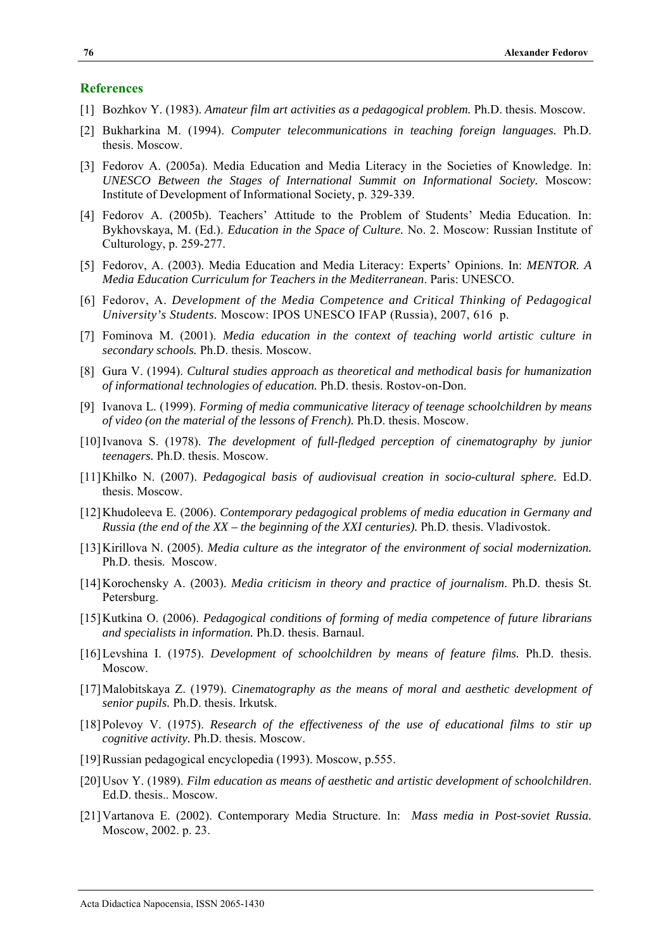#### **References**

- [1] Bozhkov Y. (1983). *Amateur film art activities as a pedagogical problem.* Ph.D. thesis. Moscow.
- [2] Bukharkina M. (1994). *Computer telecommunications in teaching foreign languages.* Ph.D. thesis. Moscow.
- [3] Fedorov A. (2005a). Media Education and Media Literacy in the Societies of Knowledge. In: *UNESCO Between the Stages of International Summit on Informational Society.* Moscow: Institute of Development of Informational Society, p. 329-339.
- [4] Fedorov A. (2005b). Teachers' Attitude to the Problem of Students' Media Education. In: Bykhovskaya, M. (Ed.). *Education in the Space of Culture.* No. 2. Moscow: Russian Institute of Culturology, p. 259-277.
- [5] Fedorov, A. (2003). Media Education and Media Literacy: Experts' Opinions. In: *MENTOR. A Media Education Curriculum for Teachers in the Mediterranean*. Paris: UNESCO.
- [6] Fedorov, A. *Development of the Media Competence and Critical Thinking of Pedagogical University's Students.* Moscow: IPOS UNESCO IFAP (Russia), 2007, 616 p.
- [7] Fominova M. (2001). *Media education in the context of teaching world artistic culture in secondary schools.* Ph.D. thesis. Moscow.
- [8] Gura V. (1994). *Cultural studies approach as theoretical and methodical basis for humanization of informational technologies of education.* Ph.D. thesis. Rostov-on-Don.
- [9] Ivanova L. (1999). *Forming of media communicative literacy of teenage schoolchildren by means of video (on the material of the lessons of French).* Ph.D. thesis. Moscow.
- [10]Ivanova S. (1978). *The development of full-fledged perception of cinematography by junior teenagers.* Ph.D. thesis. Moscow.
- [11]Khilko N. (2007). *Pedagogical basis of audiovisual creation in socio-cultural sphere.* Ed.D. thesis. Moscow.
- [12]Khudoleeva E. (2006). *Contemporary pedagogical problems of media education in Germany and Russia (the end of the XX – the beginning of the XXI centuries).* Ph.D. thesis. Vladivostok.
- [13]Kirillova N. (2005). *Media culture as the integrator of the environment of social modernization.* Ph.D. thesis. Moscow.
- [14]Korochensky A. (2003). *Media criticism in theory and practice of journalism*. Ph.D. thesis St. Petersburg.
- [15]Kutkina O. (2006). *Pedagogical conditions of forming of media competence of future librarians and specialists in information.* Ph.D. thesis. Barnaul.
- [16]Levshina I. (1975). *Development of schoolchildren by means of feature films.* Ph.D. thesis. Moscow.
- [17]Malobitskaya Z. (1979). *Cinematography as the means of moral and aesthetic development of senior pupils.* Ph.D. thesis. Irkutsk.
- [18]Polevoy V. (1975). *Research of the effectiveness of the use of educational films to stir up cognitive activity.* Ph.D. thesis. Moscow.
- [19]Russian pedagogical encyclopedia (1993). Moscow, p.555.
- [20]Usov Y. (1989). *Film education as means of aesthetic and artistic development of schoolchildren*. Ed.D. thesis.. Moscow.
- [21]Vartanova E. (2002). Contemporary Media Structure. In: *Mass media in Post-soviet Russia.* Moscow, 2002. p. 23.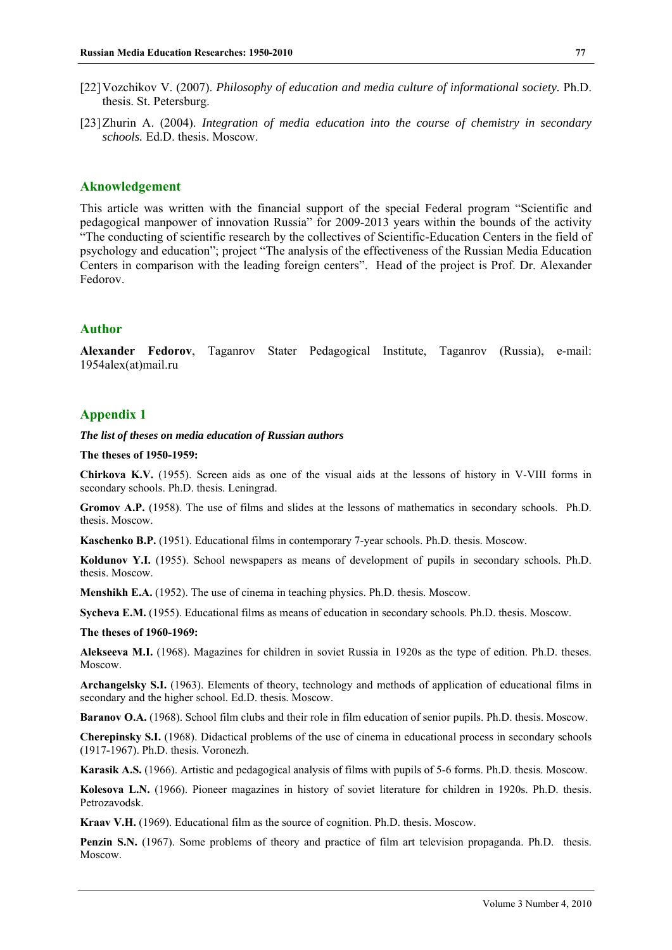- [22]Vozchikov V. (2007). *Philosophy of education and media culture of informational society.* Ph.D. thesis. St. Petersburg.
- [23]Zhurin A. (2004). *Integration of media education into the course of chemistry in secondary schools.* Ed.D. thesis. Мoscow.

#### **Aknowledgement**

This article was written with the financial support of the special Federal program "Scientific and pedagogical manpower of innovation Russia" for 2009-2013 years within the bounds of the activity "The conducting of scientific research by the collectives of Scientific-Education Centers in the field of psychology and education"; project "The analysis of the effectiveness of the Russian Media Education Centers in comparison with the leading foreign centers". Head of the project is Prof. Dr. Alexander Fedorov.

#### **Author**

**Alexander Fedorov**, Taganrov Stater Pedagogical Institute, Taganrov (Russia), e-mail: 1954alex(at)mail.ru

#### **Appendix 1**

*The list of theses on media education of Russian authors* 

**The theses of 1950-1959:** 

**Chirkova K.V.** (1955). Screen aids as one of the visual aids at the lessons of history in V-VIII forms in secondary schools. Ph.D. thesis. Leningrad.

**Gromov A.P.** (1958). The use of films and slides at the lessons of mathematics in secondary schools. Ph.D. thesis. Moscow.

**Kaschenko B.P.** (1951). Educational films in contemporary 7-year schools. Ph.D. thesis. Moscow.

**Koldunov Y.I.** (1955). School newspapers as means of development of pupils in secondary schools. Ph.D. thesis. Moscow.

**Menshikh E.A.** (1952). The use of cinema in teaching physics. Ph.D. thesis. Moscow.

**Sycheva E.M.** (1955). Educational films as means of education in secondary schools. Ph.D. thesis. Moscow.

**The theses of 1960-1969:** 

**Alekseeva M.I.** (1968). Magazines for children in soviet Russia in 1920s as the type of edition. Ph.D. theses. Moscow.

**Archangelsky S.I.** (1963). Elements of theory, technology and methods of application of educational films in secondary and the higher school. Ed.D. thesis. Moscow.

**Baranov O.A.** (1968). School film clubs and their role in film education of senior pupils. Ph.D. thesis. Moscow.

**Cherepinsky S.I.** (1968). Didactical problems of the use of cinema in educational process in secondary schools (1917-1967). Ph.D. thesis. Voronezh.

**Karasik A.S.** (1966). Artistic and pedagogical analysis of films with pupils of 5-6 forms. Ph.D. thesis. Moscow.

**Kolesova L.N.** (1966). Pioneer magazines in history of soviet literature for children in 1920s. Ph.D. thesis. Petrozavodsk.

**Kraav V.H.** (1969). Educational film as the source of cognition. Ph.D. thesis. Moscow.

**Penzin S.N.** (1967). Some problems of theory and practice of film art television propaganda. Ph.D. thesis. Moscow.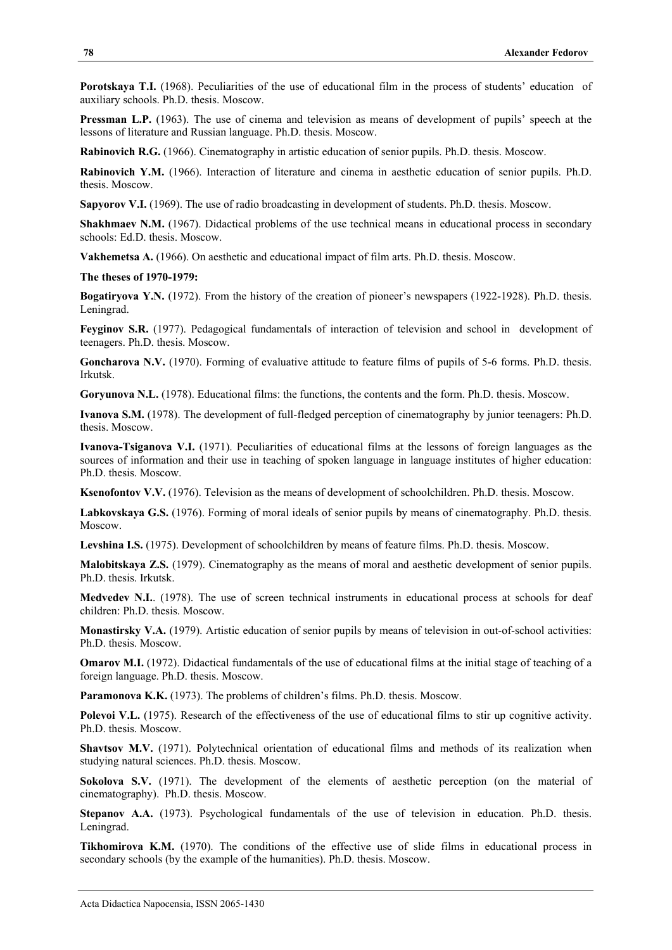**Porotskaya T.I.** (1968). Peculiarities of the use of educational film in the process of students' education of auxiliary schools. Ph.D. thesis. Moscow.

**Pressman L.P.** (1963). The use of cinema and television as means of development of pupils' speech at the lessons of literature and Russian language. Ph.D. thesis. Moscow.

**Rabinovich R.G.** (1966). Cinematography in artistic education of senior pupils. Ph.D. thesis. Moscow.

**Rabinovich Y.M.** (1966). Interaction of literature and cinema in aesthetic education of senior pupils. Ph.D. thesis. Moscow.

**Sapyorov V.I.** (1969). The use of radio broadcasting in development of students. Ph.D. thesis. Moscow.

**Shakhmaev N.M.** (1967). Didactical problems of the use technical means in educational process in secondary schools: Ed.D. thesis. Moscow.

**Vakhemetsa A.** (1966). On aesthetic and educational impact of film arts. Ph.D. thesis. Moscow.

**The theses of 1970-1979:** 

**Bogatiryova Y.N.** (1972). From the history of the creation of pioneer's newspapers (1922-1928). Ph.D. thesis. Leningrad.

**Feyginov S.R.** (1977). Pedagogical fundamentals of interaction of television and school in development of teenagers. Ph.D. thesis. Moscow.

Goncharova N.V. (1970). Forming of evaluative attitude to feature films of pupils of 5-6 forms. Ph.D. thesis. Irkutsk.

**Goryunova N.L.** (1978). Educational films: the functions, the contents and the form. Ph.D. thesis. Moscow.

**Ivanova S.M.** (1978). The development of full-fledged perception of cinematography by junior teenagers: Ph.D. thesis. Moscow.

**Ivanova-Tsiganova V.I.** (1971). Peculiarities of educational films at the lessons of foreign languages as the sources of information and their use in teaching of spoken language in language institutes of higher education: Ph.D. thesis. Moscow.

**Ksenofontov V.V.** (1976). Television as the means of development of schoolchildren. Ph.D. thesis. Moscow.

**Labkovskaya G.S.** (1976). Forming of moral ideals of senior pupils by means of cinematography. Ph.D. thesis. Moscow.

**Levshina I.S.** (1975). Development of schoolchildren by means of feature films. Ph.D. thesis. Moscow.

**Malobitskaya Z.S.** (1979). Cinematography as the means of moral and aesthetic development of senior pupils. Ph.D. thesis. Irkutsk.

**Medvedev N.I.**. (1978). The use of screen technical instruments in educational process at schools for deaf children: Ph.D. thesis. Moscow.

**Monastirsky V.A.** (1979). Artistic education of senior pupils by means of television in out-of-school activities: Ph.D. thesis. Moscow.

**Omarov M.I.** (1972). Didactical fundamentals of the use of educational films at the initial stage of teaching of a foreign language. Ph.D. thesis. Moscow.

**Paramonova K.K.** (1973). The problems of children's films. Ph.D. thesis. Moscow.

**Polevoi V.L.** (1975). Research of the effectiveness of the use of educational films to stir up cognitive activity. Ph.D. thesis. Moscow.

**Shavtsov M.V.** (1971). Polytechnical orientation of educational films and methods of its realization when studying natural sciences. Ph.D. thesis. Moscow.

**Sokolova S.V.** (1971). The development of the elements of aesthetic perception (on the material of cinematography). Ph.D. thesis. Moscow.

**Stepanov A.A.** (1973). Psychological fundamentals of the use of television in education. Ph.D. thesis. Leningrad.

**Tikhomirova K.M.** (1970). The conditions of the effective use of slide films in educational process in secondary schools (by the example of the humanities). Ph.D. thesis. Moscow.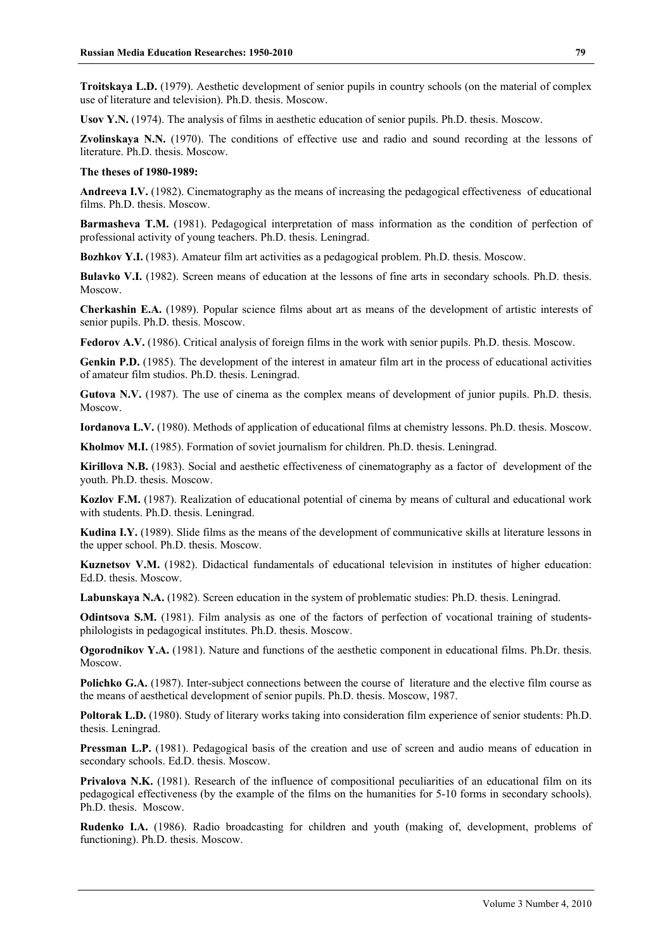**Troitskaya L.D.** (1979). Aesthetic development of senior pupils in country schools (on the material of complex use of literature and television). Ph.D. thesis. Moscow.

**Usov Y.N.** (1974). The analysis of films in aesthetic education of senior pupils. Ph.D. thesis. Moscow.

**Zvolinskaya N.N.** (1970). The conditions of effective use and radio and sound recording at the lessons of literature. Ph.D. thesis. Moscow.

#### **The theses of 1980-1989:**

**Andreeva I.V.** (1982). Cinematography as the means of increasing the pedagogical effectiveness of educational films. Ph.D. thesis. Moscow.

**Barmasheva T.M.** (1981). Pedagogical interpretation of mass information as the condition of perfection of professional activity of young teachers. Ph.D. thesis. Leningrad.

**Bozhkov Y.I.** (1983). Amateur film art activities as a pedagogical problem. Ph.D. thesis. Moscow.

**Bulavko V.I.** (1982). Screen means of education at the lessons of fine arts in secondary schools. Ph.D. thesis. Moscow.

**Cherkashin E.A.** (1989). Popular science films about art as means of the development of artistic interests of senior pupils. Ph.D. thesis. Moscow.

**Fedorov A.V.** (1986). Critical analysis of foreign films in the work with senior pupils. Ph.D. thesis. Moscow.

**Genkin P.D.** (1985). The development of the interest in amateur film art in the process of educational activities of amateur film studios. Ph.D. thesis. Leningrad.

Gutova N.V. (1987). The use of cinema as the complex means of development of junior pupils. Ph.D. thesis. Moscow.

**Iordanova L.V.** (1980). Methods of application of educational films at chemistry lessons. Ph.D. thesis. Moscow.

**Kholmov M.I.** (1985). Formation of soviet journalism for children. Ph.D. thesis. Leningrad.

**Kirillova N.B.** (1983). Social and aesthetic effectiveness of cinematography as a factor of development of the youth. Ph.D. thesis. Moscow.

**Kozlov F.M.** (1987). Realization of educational potential of cinema by means of cultural and educational work with students. Ph.D. thesis. Leningrad.

**Kudina I.Y.** (1989). Slide films as the means of the development of communicative skills at literature lessons in the upper school. Ph.D. thesis. Moscow.

**Kuznetsov V.M.** (1982). Didactical fundamentals of educational television in institutes of higher education: Ed.D. thesis. Moscow.

**Labunskaya N.A.** (1982). Screen education in the system of problematic studies: Ph.D. thesis. Leningrad.

**Odintsova S.M.** (1981). Film analysis as one of the factors of perfection of vocational training of studentsphilologists in pedagogical institutes. Ph.D. thesis. Moscow.

**Ogorodnikov Y.A.** (1981). Nature and functions of the aesthetic component in educational films. Ph.Dr. thesis. Moscow.

**Polichko G.A.** (1987). Inter-subject connections between the course of literature and the elective film course as the means of aesthetical development of senior pupils. Ph.D. thesis. Moscow, 1987.

**Poltorak L.D.** (1980). Study of literary works taking into consideration film experience of senior students: Ph.D. thesis. Leningrad.

**Pressman L.P.** (1981). Pedagogical basis of the creation and use of screen and audio means of education in secondary schools. Ed.D. thesis. Moscow.

**Privalova N.K.** (1981). Research of the influence of compositional peculiarities of an educational film on its pedagogical effectiveness (by the example of the films on the humanities for 5-10 forms in secondary schools). Ph.D. thesis. Moscow.

**Rudenko I.A.** (1986). Radio broadcasting for children and youth (making of, development, problems of functioning). Ph.D. thesis. Мoscow.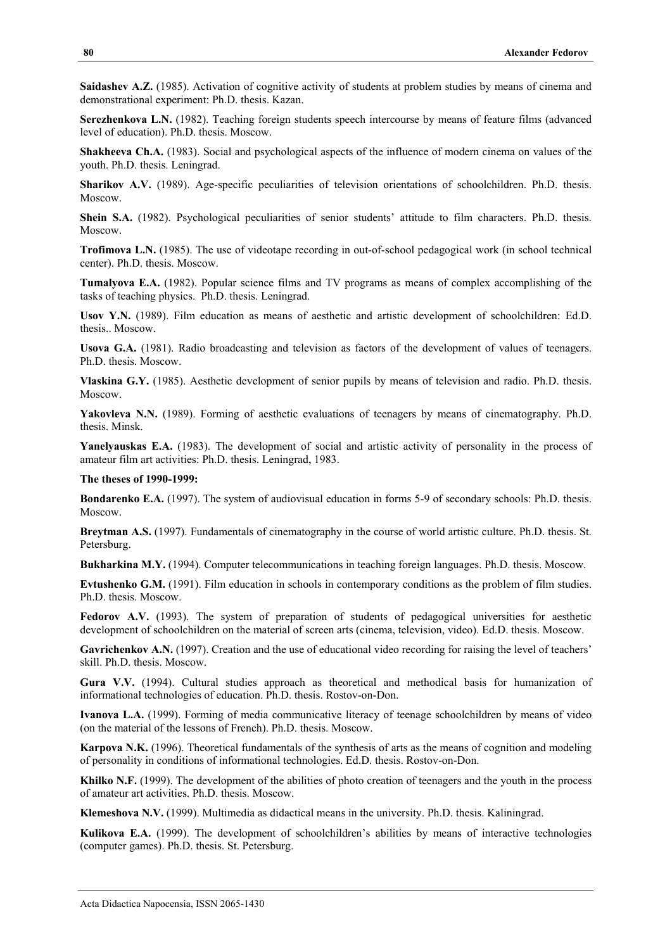**Saidashev A.Z.** (1985). Activation of cognitive activity of students at problem studies by means of cinema and demonstrational experiment: Ph.D. thesis. Kazan.

**Serezhenkova L.N.** (1982). Teaching foreign students speech intercourse by means of feature films (advanced level of education). Ph.D. thesis. Moscow.

**Shakheeva Ch.A.** (1983). Social and psychological aspects of the influence of modern cinema on values of the youth. Ph.D. thesis. Leningrad.

**Sharikov A.V.** (1989). Age-specific peculiarities of television orientations of schoolchildren. Ph.D. thesis. Moscow.

**Shein S.A.** (1982). Psychological peculiarities of senior students' attitude to film characters. Ph.D. thesis. Moscow.

**Trofimova L.N.** (1985). The use of videotape recording in out-of-school pedagogical work (in school technical center). Ph.D. thesis. Moscow.

**Tumalyova E.A.** (1982). Popular science films and TV programs as means of complex accomplishing of the tasks of teaching physics. Ph.D. thesis. Leningrad.

**Usov Y.N.** (1989). Film education as means of aesthetic and artistic development of schoolchildren: Ed.D. thesis.. Moscow.

**Usova G.A.** (1981). Radio broadcasting and television as factors of the development of values of teenagers. Ph.D. thesis. Moscow.

**Vlaskina G.Y.** (1985). Aesthetic development of senior pupils by means of television and radio. Ph.D. thesis. Moscow.

**Yakovleva N.N.** (1989). Forming of aesthetic evaluations of teenagers by means of cinematography. Ph.D. thesis. Minsk.

**Yanelyauskas E.A.** (1983). The development of social and artistic activity of personality in the process of amateur film art activities: Ph.D. thesis. Leningrad, 1983.

**The theses of 1990-1999:** 

**Bondarenko E.A.** (1997). The system of audiovisual education in forms 5-9 of secondary schools: Ph.D. thesis. Moscow.

**Breytman A.S.** (1997). Fundamentals of cinematography in the course of world artistic culture. Ph.D. thesis. St. Petersburg.

**Bukharkina M.Y.** (1994). Computer telecommunications in teaching foreign languages. Ph.D. thesis. Moscow.

**Evtushenko G.M.** (1991). Film education in schools in contemporary conditions as the problem of film studies. Ph.D. thesis. Moscow.

**Fedorov A.V.** (1993). The system of preparation of students of pedagogical universities for aesthetic development of schoolchildren on the material of screen arts (cinema, television, video). Ed.D. thesis. Moscow.

**Gavrichenkov A.N.** (1997). Creation and the use of educational video recording for raising the level of teachers' skill. Ph.D. thesis. Moscow.

**Gura V.V.** (1994). Cultural studies approach as theoretical and methodical basis for humanization of informational technologies of education. Ph.D. thesis. Rostov-on-Don.

**Ivanova L.A.** (1999). Forming of media communicative literacy of teenage schoolchildren by means of video (on the material of the lessons of French). Ph.D. thesis. Moscow.

**Karpova N.K.** (1996). Theoretical fundamentals of the synthesis of arts as the means of cognition and modeling of personality in conditions of informational technologies. Ed.D. thesis. Rostov-on-Don.

**Khilko N.F.** (1999). The development of the abilities of photo creation of teenagers and the youth in the process of amateur art activities. Ph.D. thesis. Moscow.

**Klemeshova N.V.** (1999). Multimedia as didactical means in the university. Ph.D. thesis. Kaliningrad.

**Kulikova E.A.** (1999). The development of schoolchildren's abilities by means of interactive technologies (computer games). Ph.D. thesis. St. Petersburg.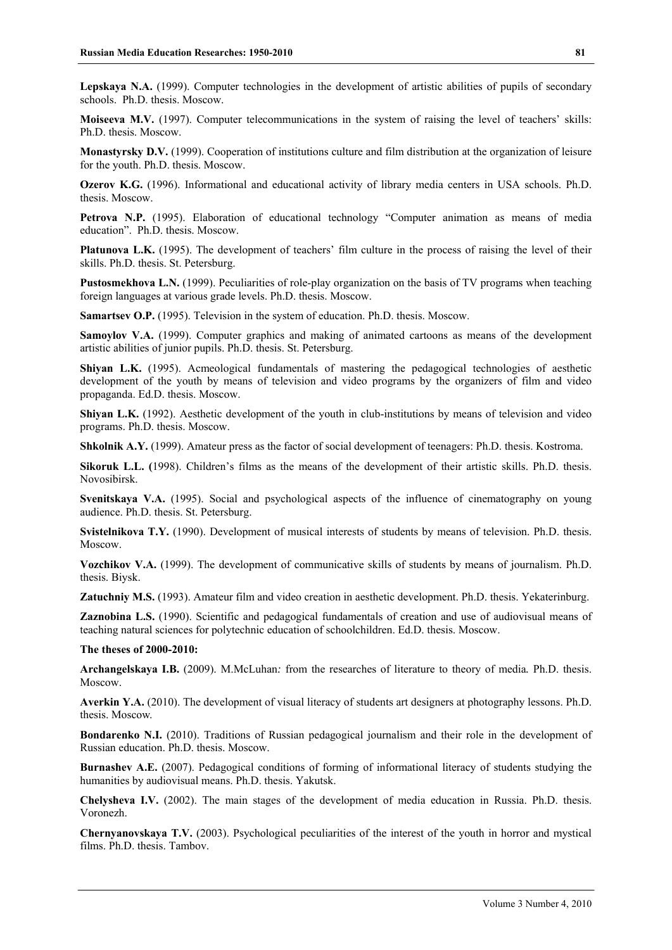**Lepskaya N.A.** (1999). Computer technologies in the development of artistic abilities of pupils of secondary schools. Ph.D. thesis. Moscow.

**Moiseeva M.V.** (1997). Computer telecommunications in the system of raising the level of teachers' skills: Ph.D. thesis. Moscow.

**Monastyrsky D.V.** (1999). Cooperation of institutions culture and film distribution at the organization of leisure for the youth. Ph.D. thesis. Moscow.

**Ozerov K.G.** (1996). Informational and educational activity of library media centers in USA schools. Ph.D. thesis. Moscow.

**Petrova N.P.** (1995). Elaboration of educational technology "Computer animation as means of media education". Ph.D. thesis. Moscow.

**Platunova L.K.** (1995). The development of teachers' film culture in the process of raising the level of their skills. Ph.D. thesis. St. Petersburg.

**Pustosmekhova L.N.** (1999). Peculiarities of role-play organization on the basis of TV programs when teaching foreign languages at various grade levels. Ph.D. thesis. Moscow.

**Samartsev O.P.** (1995). Television in the system of education. Ph.D. thesis. Moscow.

**Samoylov V.A.** (1999). Computer graphics and making of animated cartoons as means of the development artistic abilities of junior pupils. Ph.D. thesis. St. Petersburg.

**Shiyan L.K.** (1995). Acmeological fundamentals of mastering the pedagogical technologies of aesthetic development of the youth by means of television and video programs by the organizers of film and video propaganda. Ed.D. thesis. Moscow.

**Shiyan L.K.** (1992). Aesthetic development of the youth in club-institutions by means of television and video programs. Ph.D. thesis. Moscow.

**Shkolnik A.Y.** (1999). Amateur press as the factor of social development of teenagers: Ph.D. thesis. Kostroma.

**Sikoruk L.L. (**1998). Children's films as the means of the development of their artistic skills. Ph.D. thesis. Novosibirsk.

**Svenitskaya V.A.** (1995). Social and psychological aspects of the influence of cinematography on young audience. Ph.D. thesis. St. Petersburg.

**Svistelnikova T.Y.** (1990). Development of musical interests of students by means of television. Ph.D. thesis. Moscow.

**Vozchikov V.A.** (1999). The development of communicative skills of students by means of journalism. Ph.D. thesis. Biysk.

**Zatuchniy M.S.** (1993). Amateur film and video creation in aesthetic development. Ph.D. thesis. Yekaterinburg.

**Zaznobina L.S.** (1990). Scientific and pedagogical fundamentals of creation and use of audiovisual means of teaching natural sciences for polytechnic education of schoolchildren. Ed.D. thesis. Moscow.

#### **The theses of 2000-2010:**

**Archangelskaya I.B.** (2009). M.McLuhan*:* from the researches of literature to theory of media*.* Ph.D. thesis. Moscow.

**Averkin Y.A.** (2010). The development of visual literacy of students art designers at photography lessons. Ph.D. thesis. Moscow.

**Bondarenko N.I.** (2010). Traditions of Russian pedagogical journalism and their role in the development of Russian education. Ph.D. thesis. Moscow.

**Burnashev A.E.** (2007). Pedagogical conditions of forming of informational literacy of students studying the humanities by audiovisual means. Ph.D. thesis. Yakutsk.

**Chelysheva I.V.** (2002). The main stages of the development of media education in Russia. Ph.D. thesis. Voronezh.

**Chernyanovskaya T.V.** (2003). Psychological peculiarities of the interest of the youth in horror and mystical films. Ph.D. thesis. Tambov.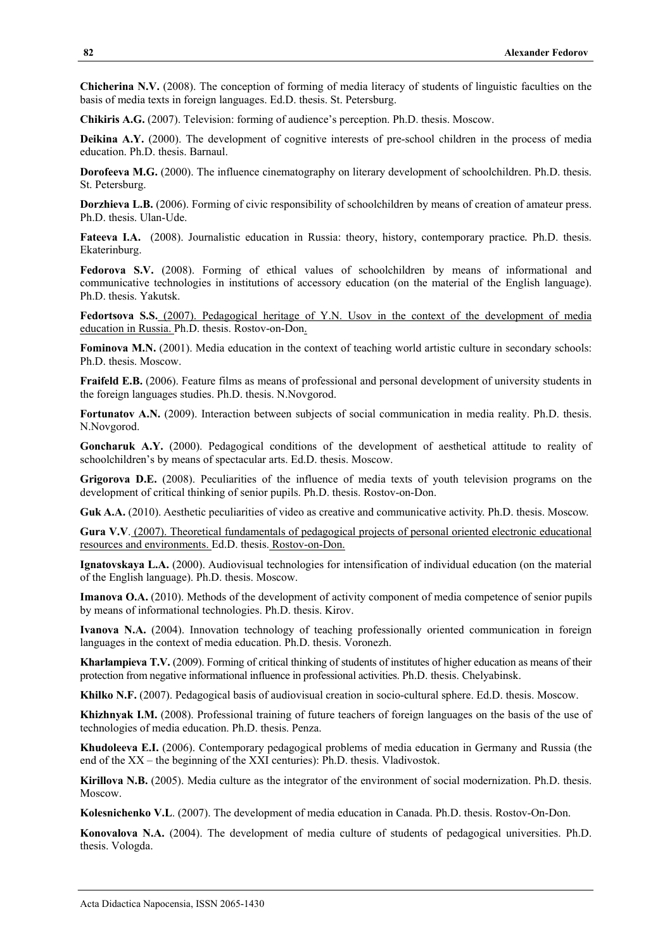**Chicherina N.V.** (2008). The conception of forming of media literacy of students of linguistic faculties on the basis of media texts in foreign languages. Ed.D. thesis. St. Petersburg.

**Chikiris A.G.** (2007). Television: forming of audience's perception. Ph.D. thesis. Moscow.

**Deikina A.Y.** (2000). The development of cognitive interests of pre-school children in the process of media education. Ph.D. thesis. Barnaul.

**Dorofeeva M.G.** (2000). The influence cinematography on literary development of schoolchildren. Ph.D. thesis. St. Petersburg.

**Dorzhieva L.B.** (2006). Forming of civic responsibility of schoolchildren by means of creation of amateur press. Ph.D. thesis. Ulan-Ude.

**Fateeva I.A.** (2008). Journalistic education in Russia: theory, history, contemporary practice*.* Ph.D. thesis. Ekaterinburg.

**Fedorova S.V.** (2008). Forming of ethical values of schoolchildren by means of informational and communicative technologies in institutions of accessory education (on the material of the English language). Ph.D. thesis. Yakutsk.

**Fedortsova S.S.** (2007). Pedagogical heritage of Y.N. Usov in the context of the development of media education in Russia. Ph.D. thesis. Rostov-on-Don.

**Fominova M.N.** (2001). Media education in the context of teaching world artistic culture in secondary schools: Ph.D. thesis. Moscow.

**Fraifeld E.B.** (2006). Feature films as means of professional and personal development of university students in the foreign languages studies. Ph.D. thesis. N.Novgorod.

**Fortunatov A.N.** (2009). Interaction between subjects of social communication in media reality. Ph.D. thesis. N.Novgorod.

**Goncharuk A.Y.** (2000). Pedagogical conditions of the development of aesthetical attitude to reality of schoolchildren's by means of spectacular arts. Ed.D. thesis. Мoscow.

**Grigorova D.E.** (2008). Peculiarities of the influence of media texts of youth television programs on the development of critical thinking of senior pupils. Ph.D. thesis. Rostov-on-Don.

**Guk A.A.** (2010). Aesthetic peculiarities of video as creative and communicative activity. Ph.D. thesis. Moscow.

**Gura V.V**. (2007). Theoretical fundamentals of pedagogical projects of personal oriented electronic educational resources and environments. Ed.D. thesis. Rostov-on-Don.

**Ignatovskaya L.A.** (2000). Audiovisual technologies for intensification of individual education (on the material of the English language). Ph.D. thesis. Moscow.

**Imanova O.A.** (2010). Methods of the development of activity component of media competence of senior pupils by means of informational technologies. Ph.D. thesis. Kirov.

**Ivanova N.A.** (2004). Innovation technology of teaching professionally oriented communication in foreign languages in the context of media education. Ph.D. thesis. Voronezh.

**Kharlampieva T.V.** (2009). Forming of critical thinking of students of institutes of higher education as means of their protection from negative informational influence in professional activities. Ph.D. thesis. Chelyabinsk.

**Khilko N.F.** (2007). Pedagogical basis of audiovisual creation in socio-cultural sphere. Ed.D. thesis. Moscow.

**Khizhnyak I.M.** (2008). Professional training of future teachers of foreign languages on the basis of the use of technologies of media education. Ph.D. thesis. Penza.

**Khudoleeva E.I.** (2006). Contemporary pedagogical problems of media education in Germany and Russia (the end of the XX – the beginning of the XXI centuries): Ph.D. thesis. Vladivostok.

**Kirillova N.B.** (2005). Media culture as the integrator of the environment of social modernization. Ph.D. thesis. Moscow.

**Kolesnichenko V.L**. (2007). The development of media education in Canada. Ph.D. thesis. Rostov-On-Don.

**Konovalova N.A.** (2004). The development of media culture of students of pedagogical universities. Ph.D. thesis. Vologda.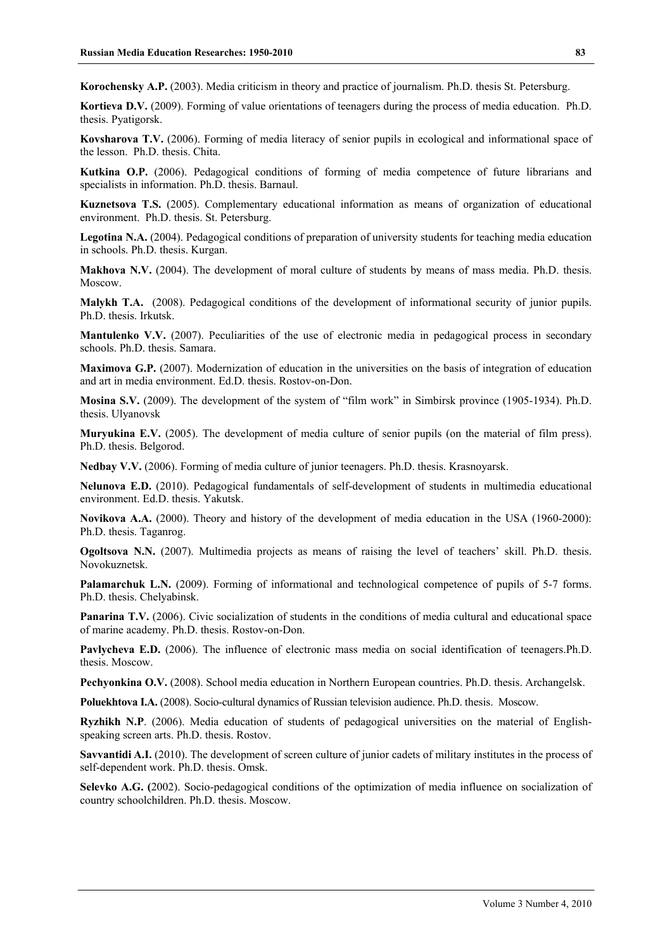**Korochensky A.P.** (2003). Media criticism in theory and practice of journalism. Ph.D. thesis St. Petersburg.

**Kortieva D.V.** (2009). Forming of value orientations of teenagers during the process of media education. Ph.D. thesis. Pyatigorsk.

**Kovsharova T.V.** (2006). Forming of media literacy of senior pupils in ecological and informational space of the lesson. Ph.D. thesis. Chita.

**Kutkina O.P.** (2006). Pedagogical conditions of forming of media competence of future librarians and specialists in information. Ph.D. thesis. Barnaul.

**Kuznetsova T.S.** (2005). Complementary educational information as means of organization of educational environment. Ph.D. thesis. St. Petersburg.

**Legotina N.A.** (2004). Pedagogical conditions of preparation of university students for teaching media education in schools. Ph.D. thesis. Kurgan.

**Makhova N.V.** (2004). The development of moral culture of students by means of mass media. Ph.D. thesis. Moscow.

**Malykh T.A.** (2008). Pedagogical conditions of the development of informational security of junior pupils. Ph.D. thesis. Irkutsk.

**Mantulenko V.V.** (2007). Peculiarities of the use of electronic media in pedagogical process in secondary schools. Ph.D. thesis. Samara.

**Maximova G.P.** (2007). Modernization of education in the universities on the basis of integration of education and art in media environment. Ed.D. thesis. Rostov-on-Don.

**Mosina S.V.** (2009). The development of the system of "film work" in Simbirsk province (1905-1934). Ph.D. thesis. Ulyanovsk

**Muryukina E.V.** (2005). The development of media culture of senior pupils (on the material of film press). Ph.D. thesis. Belgorod.

**Nedbay V.V.** (2006). Forming of media culture of junior teenagers. Ph.D. thesis. Krasnoyarsk.

**Nelunova E.D.** (2010). Pedagogical fundamentals of self-development of students in multimedia educational environment. Ed.D. thesis. Yakutsk.

**Novikova A.A.** (2000). Theory and history of the development of media education in the USA (1960-2000): Ph.D. thesis. Taganrog.

**Ogoltsova N.N.** (2007). Multimedia projects as means of raising the level of teachers' skill. Ph.D. thesis. Novokuznetsk.

**Palamarchuk L.N.** (2009). Forming of informational and technological competence of pupils of 5-7 forms. Ph.D. thesis. Chelyabinsk.

**Panarina T.V.** (2006). Civic socialization of students in the conditions of media cultural and educational space of marine academy. Ph.D. thesis. Rostov-on-Don.

**Pavlycheva E.D.** (2006). The influence of electronic mass media on social identification of teenagers.Ph.D. thesis. Moscow.

**Pechyonkina O.V.** (2008). School media education in Northern European countries. Ph.D. thesis. Archangelsk.

**Poluekhtova I.A.** (2008). Socio-cultural dynamics of Russian television audience. Ph.D. thesis. Мoscow.

**Ryzhikh N.P**. (2006). Media education of students of pedagogical universities on the material of Englishspeaking screen arts. Ph.D. thesis. Rostov.

**Savvantidi A.I.** (2010). The development of screen culture of junior cadets of military institutes in the process of self-dependent work. Ph.D. thesis. Omsk.

**Selevko A.G. (**2002). Socio-pedagogical conditions of the optimization of media influence on socialization of country schoolchildren. Ph.D. thesis. Moscow.